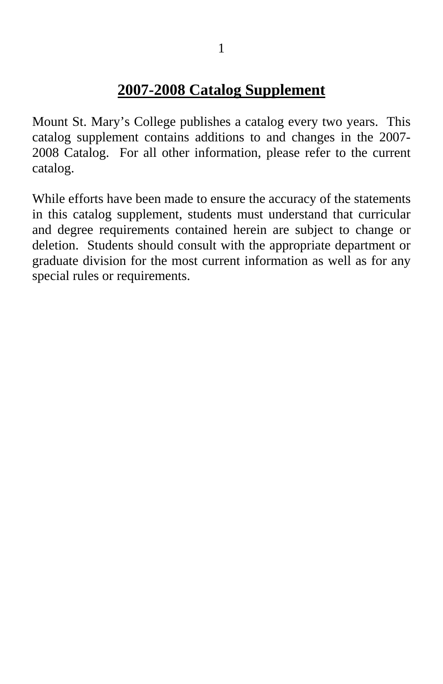## **2007-2008 Catalog Supplement**

Mount St. Mary's College publishes a catalog every two years. This catalog supplement contains additions to and changes in the 2007- 2008 Catalog. For all other information, please refer to the current catalog.

While efforts have been made to ensure the accuracy of the statements in this catalog supplement, students must understand that curricular and degree requirements contained herein are subject to change or deletion. Students should consult with the appropriate department or graduate division for the most current information as well as for any special rules or requirements.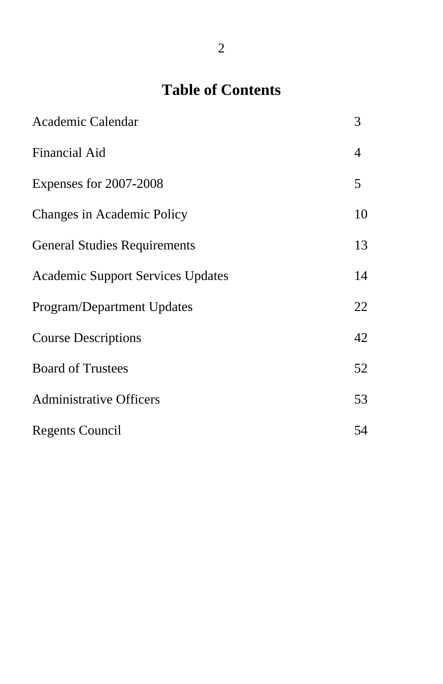# **Table of Contents**

| Academic Calendar                        | 3  |
|------------------------------------------|----|
| <b>Financial Aid</b>                     | 4  |
| Expenses for 2007-2008                   | 5  |
| Changes in Academic Policy               | 10 |
| <b>General Studies Requirements</b>      | 13 |
| <b>Academic Support Services Updates</b> | 14 |
| Program/Department Updates               | 22 |
| <b>Course Descriptions</b>               | 42 |
| <b>Board of Trustees</b>                 | 52 |
| <b>Administrative Officers</b>           | 53 |
| Regents Council                          | 54 |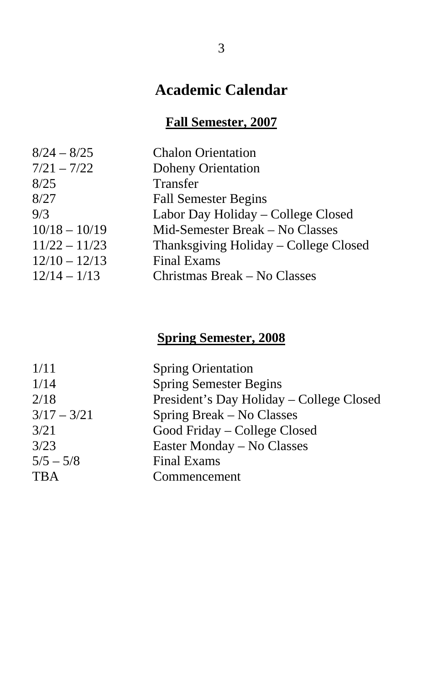## **Academic Calendar**

#### **Fall Semester, 2007**

| $8/24 - 8/25$   | <b>Chalon Orientation</b>             |
|-----------------|---------------------------------------|
| $7/21 - 7/22$   | <b>Doheny Orientation</b>             |
| 8/25            | Transfer                              |
| 8/27            | <b>Fall Semester Begins</b>           |
| 9/3             | Labor Day Holiday – College Closed    |
| $10/18 - 10/19$ | Mid-Semester Break – No Classes       |
| $11/22 - 11/23$ | Thanksgiving Holiday – College Closed |
| $12/10 - 12/13$ | <b>Final Exams</b>                    |
| $12/14 - 1/13$  | Christmas Break – No Classes          |
|                 |                                       |

## **Spring Semester, 2008**

| 1/11          | <b>Spring Orientation</b>                |
|---------------|------------------------------------------|
| 1/14          | <b>Spring Semester Begins</b>            |
| 2/18          | President's Day Holiday - College Closed |
| $3/17 - 3/21$ | Spring Break – No Classes                |
| 3/21          | Good Friday – College Closed             |
| 3/23          | Easter Monday – No Classes               |
| $5/5 - 5/8$   | <b>Final Exams</b>                       |
| <b>TBA</b>    | Commencement                             |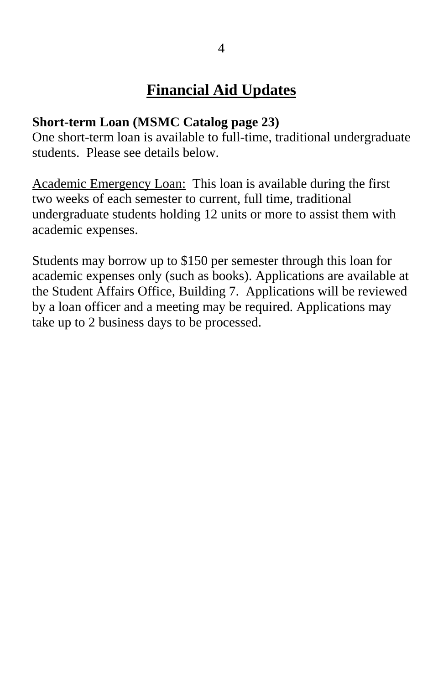#### **Short-term Loan (MSMC Catalog page 23)**

One short-term loan is available to full-time, traditional undergraduate students. Please see details below.

Academic Emergency Loan: This loan is available during the first two weeks of each semester to current, full time, traditional undergraduate students holding 12 units or more to assist them with academic expenses.

Students may borrow up to \$150 per semester through this loan for academic expenses only (such as books). Applications are available at the Student Affairs Office, Building 7. Applications will be reviewed by a loan officer and a meeting may be required. Applications may take up to 2 business days to be processed.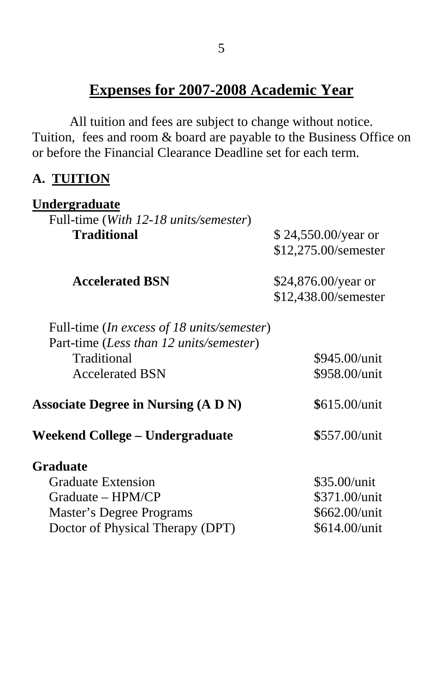## **Expenses for 2007-2008 Academic Year**

All tuition and fees are subject to change without notice. Tuition, fees and room & board are payable to the Business Office on or before the Financial Clearance Deadline set for each term.

#### **A. TUITION**

| Undergraduate                                                                         |                      |
|---------------------------------------------------------------------------------------|----------------------|
| Full-time (With 12-18 units/semester)                                                 |                      |
| <b>Traditional</b>                                                                    | \$24,550.00/year or  |
|                                                                                       | \$12,275.00/semester |
| <b>Accelerated BSN</b>                                                                | \$24,876.00/year or  |
|                                                                                       | \$12,438.00/semester |
| Full-time (In excess of 18 units/semester)<br>Part-time (Less than 12 units/semester) |                      |
| Traditional                                                                           | \$945.00/unit        |
| <b>Accelerated BSN</b>                                                                | \$958.00/unit        |
| <b>Associate Degree in Nursing (A D N)</b>                                            | $$615.00/$ unit      |
| Weekend College – Undergraduate                                                       | \$557.00/unit        |
| <b>Graduate</b>                                                                       |                      |
| <b>Graduate Extension</b>                                                             | \$35.00/unit         |
| Graduate – HPM/CP                                                                     | \$371.00/unit        |
| <b>Master's Degree Programs</b>                                                       | \$662.00/unit        |
| Doctor of Physical Therapy (DPT)                                                      | \$614.00/unit        |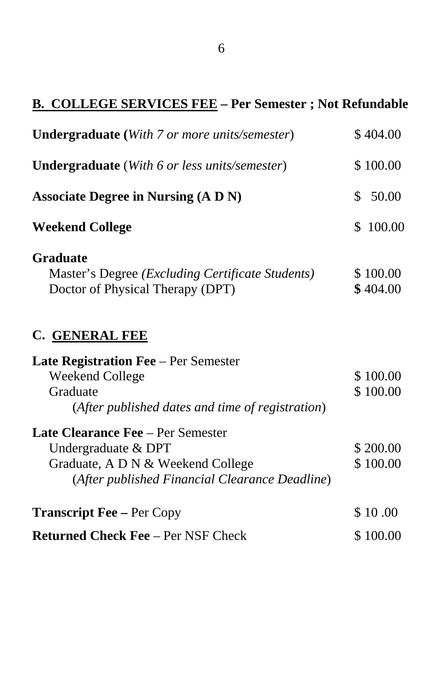# **B. COLLEGE SERVICES FEE – Per Semester ; Not Refundable**

| <b>Undergraduate</b> (With 7 or more units/semester)                                                                                                   | \$404.00             |
|--------------------------------------------------------------------------------------------------------------------------------------------------------|----------------------|
| <b>Undergraduate</b> (With 6 or less units/semester)                                                                                                   | \$100.00             |
| <b>Associate Degree in Nursing (A D N)</b>                                                                                                             | \$<br>50.00          |
| <b>Weekend College</b>                                                                                                                                 | 100.00<br>S.         |
| <b>Graduate</b><br>Master's Degree ( <i>Excluding Certificate Students</i> )<br>Doctor of Physical Therapy (DPT)                                       | \$100.00<br>\$404.00 |
| C. GENERAL FEE                                                                                                                                         |                      |
| <b>Late Registration Fee</b> – Per Semester<br>Weekend College<br>Graduate<br>(After published dates and time of registration)                         | \$100.00<br>\$100.00 |
| <b>Late Clearance Fee</b> – Per Semester<br>Undergraduate & DPT<br>Graduate, A D N & Weekend College<br>(After published Financial Clearance Deadline) | \$200.00<br>\$100.00 |
| <b>Transcript Fee – Per Copy</b>                                                                                                                       | \$10.00              |
| <b>Returned Check Fee - Per NSF Check</b>                                                                                                              | \$100.00             |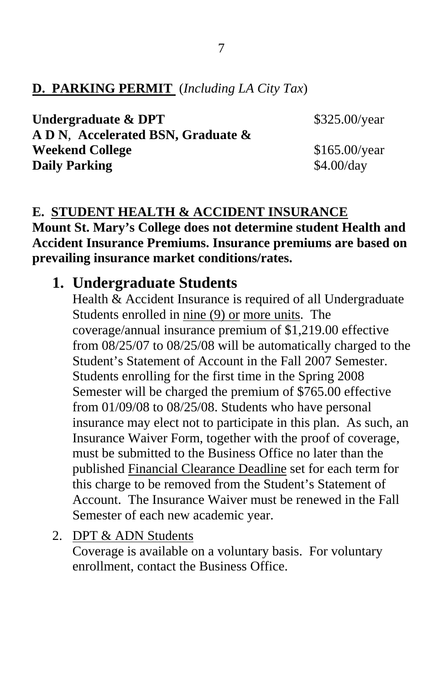#### **D. PARKING PERMIT** (*Including LA City Tax*)

| Undergraduate & DPT                | \$325.00/year   |
|------------------------------------|-----------------|
| A D N, Accelerated BSN, Graduate & |                 |
| <b>Weekend College</b>             | $$165.00$ /year |
| <b>Daily Parking</b>               | \$4.00/day      |
|                                    |                 |

### **E. STUDENT HEALTH & ACCIDENT INSURANCE**

**Mount St. Mary's College does not determine student Health and Accident Insurance Premiums. Insurance premiums are based on prevailing insurance market conditions/rates.** 

### **1. Undergraduate Students**

Health & Accident Insurance is required of all Undergraduate Students enrolled in nine (9) or more units. The coverage/annual insurance premium of \$1,219.00 effective from 08/25/07 to 08/25/08 will be automatically charged to the Student's Statement of Account in the Fall 2007 Semester. Students enrolling for the first time in the Spring 2008 Semester will be charged the premium of \$765.00 effective from 01/09/08 to 08/25/08. Students who have personal insurance may elect not to participate in this plan. As such, an Insurance Waiver Form, together with the proof of coverage, must be submitted to the Business Office no later than the published Financial Clearance Deadline set for each term for this charge to be removed from the Student's Statement of Account. The Insurance Waiver must be renewed in the Fall Semester of each new academic year.

2. DPT & ADN Students

Coverage is available on a voluntary basis. For voluntary enrollment, contact the Business Office.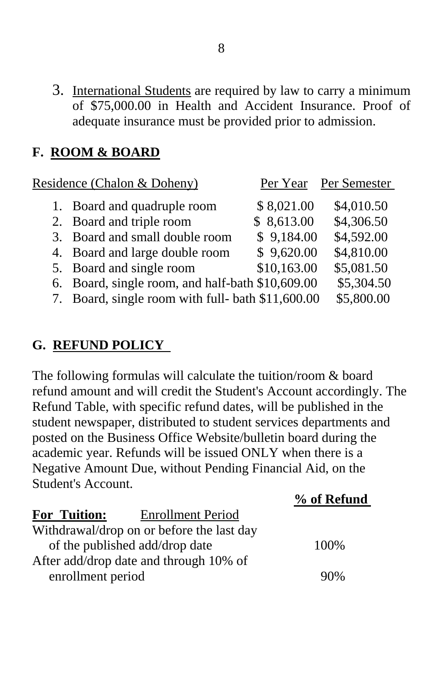3. International Students are required by law to carry a minimum of \$75,000.00 in Health and Accident Insurance. Proof of adequate insurance must be provided prior to admission.

#### **F. ROOM & BOARD**

| Residence (Chalon & Doheny)                       |             | Per Year Per Semester |
|---------------------------------------------------|-------------|-----------------------|
| 1. Board and quadruple room                       | \$8,021.00  | \$4,010.50            |
| 2. Board and triple room                          | \$8,613.00  | \$4,306.50            |
| 3. Board and small double room                    | \$9,184.00  | \$4,592.00            |
| 4. Board and large double room                    | \$9,620.00  | \$4,810.00            |
| 5. Board and single room                          | \$10,163.00 | \$5,081.50            |
| 6. Board, single room, and half-bath \$10,609.00  |             | \$5,304.50            |
| 7. Board, single room with full- bath \$11,600.00 |             | \$5,800.00            |

#### **G. REFUND POLICY**

The following formulas will calculate the tuition/room & board refund amount and will credit the Student's Account accordingly. The Refund Table, with specific refund dates, will be published in the student newspaper, distributed to student services departments and posted on the Business Office Website/bulletin board during the academic year. Refunds will be issued ONLY when there is a Negative Amount Due, without Pending Financial Aid, on the Student's Account.  $0/$  of  $\bf{D}$  of und

|                     |                                           | 70 OI <b>Netunu</b> |
|---------------------|-------------------------------------------|---------------------|
| <b>For Tuition:</b> | <b>Enrollment Period</b>                  |                     |
|                     | Withdrawal/drop on or before the last day |                     |
|                     | of the published add/drop date            | 100\%               |
|                     | After add/drop date and through 10% of    |                     |
| enrollment period   |                                           | 90%                 |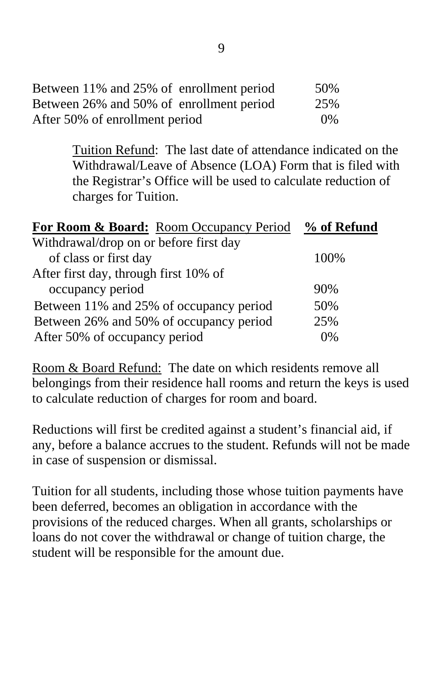| Between 11% and 25% of enrollment period | 50%   |
|------------------------------------------|-------|
| Between 26% and 50% of enrollment period | 25%   |
| After 50% of enrollment period           | $0\%$ |

Tuition Refund: The last date of attendance indicated on the Withdrawal/Leave of Absence (LOA) Form that is filed with the Registrar's Office will be used to calculate reduction of charges for Tuition.

| <b>For Room &amp; Board:</b> Room Occupancy Period % of Refund |      |
|----------------------------------------------------------------|------|
| Withdrawal/drop on or before first day                         |      |
| of class or first day                                          | 100% |
| After first day, through first 10% of                          |      |
| occupancy period                                               | 90%  |
| Between 11% and 25% of occupancy period                        | 50%  |
| Between 26% and 50% of occupancy period                        | 25%  |
| After 50% of occupancy period                                  | 0%   |

Room & Board Refund: The date on which residents remove all belongings from their residence hall rooms and return the keys is used to calculate reduction of charges for room and board.

Reductions will first be credited against a student's financial aid, if any, before a balance accrues to the student. Refunds will not be made in case of suspension or dismissal.

Tuition for all students, including those whose tuition payments have been deferred, becomes an obligation in accordance with the provisions of the reduced charges. When all grants, scholarships or loans do not cover the withdrawal or change of tuition charge, the student will be responsible for the amount due.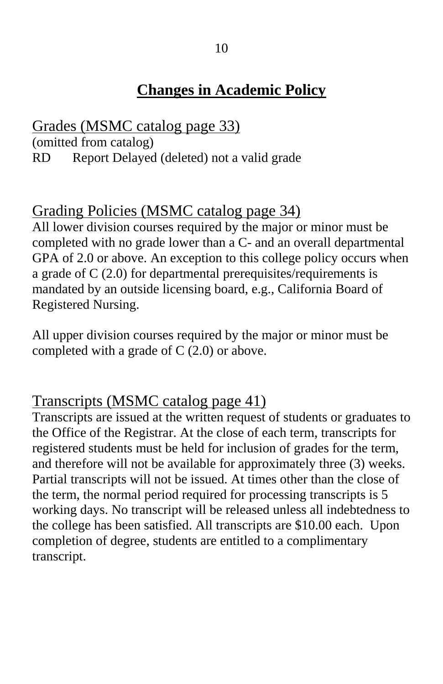## **Changes in Academic Policy**

Grades (MSMC catalog page 33) (omitted from catalog) RD Report Delayed (deleted) not a valid grade

## Grading Policies (MSMC catalog page 34)

All lower division courses required by the major or minor must be completed with no grade lower than a C- and an overall departmental GPA of 2.0 or above. An exception to this college policy occurs when a grade of C (2.0) for departmental prerequisites/requirements is mandated by an outside licensing board, e.g., California Board of Registered Nursing.

All upper division courses required by the major or minor must be completed with a grade of C (2.0) or above.

## Transcripts (MSMC catalog page 41)

Transcripts are issued at the written request of students or graduates to the Office of the Registrar. At the close of each term, transcripts for registered students must be held for inclusion of grades for the term, and therefore will not be available for approximately three (3) weeks. Partial transcripts will not be issued. At times other than the close of the term, the normal period required for processing transcripts is 5 working days. No transcript will be released unless all indebtedness to the college has been satisfied. All transcripts are \$10.00 each. Upon completion of degree, students are entitled to a complimentary transcript.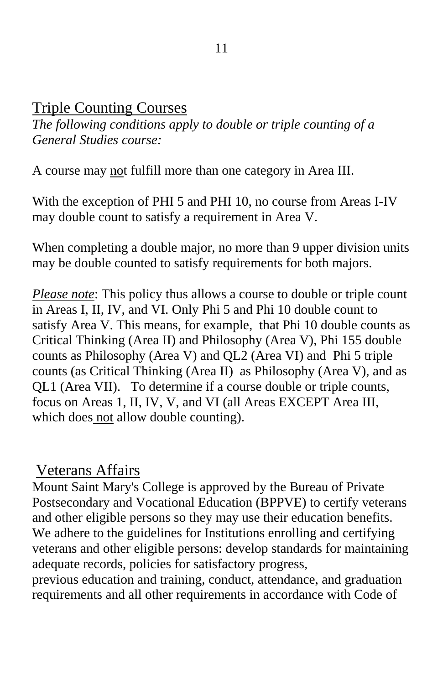## Triple Counting Courses

*The following conditions apply to double or triple counting of a General Studies course:*

A course may not fulfill more than one category in Area III.

With the exception of PHI 5 and PHI 10, no course from Areas I-IV may double count to satisfy a requirement in Area V.

When completing a double major, no more than 9 upper division units may be double counted to satisfy requirements for both majors.

*Please note*: This policy thus allows a course to double or triple count in Areas I, II, IV, and VI. Only Phi 5 and Phi 10 double count to satisfy Area V. This means, for example, that Phi 10 double counts as Critical Thinking (Area II) and Philosophy (Area V), Phi 155 double counts as Philosophy (Area V) and QL2 (Area VI) and Phi 5 triple counts (as Critical Thinking (Area II) as Philosophy (Area V), and as QL1 (Area VII). To determine if a course double or triple counts, focus on Areas 1, II, IV, V, and VI (all Areas EXCEPT Area III, which does not allow double counting).

### Veterans Affairs

Mount Saint Mary's College is approved by the Bureau of Private Postsecondary and Vocational Education (BPPVE) to certify veterans and other eligible persons so they may use their education benefits. We adhere to the guidelines for Institutions enrolling and certifying veterans and other eligible persons: develop standards for maintaining adequate records, policies for satisfactory progress,

previous education and training, conduct, attendance, and graduation requirements and all other requirements in accordance with Code of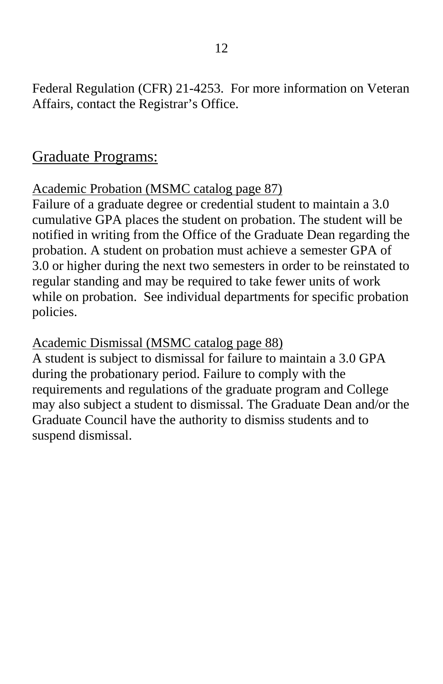Federal Regulation (CFR) 21-4253. For more information on Veteran Affairs, contact the Registrar's Office.

### Graduate Programs:

#### Academic Probation (MSMC catalog page 87)

Failure of a graduate degree or credential student to maintain a 3.0 cumulative GPA places the student on probation. The student will be notified in writing from the Office of the Graduate Dean regarding the probation. A student on probation must achieve a semester GPA of 3.0 or higher during the next two semesters in order to be reinstated to regular standing and may be required to take fewer units of work while on probation. See individual departments for specific probation policies.

#### Academic Dismissal (MSMC catalog page 88)

A student is subject to dismissal for failure to maintain a 3.0 GPA during the probationary period. Failure to comply with the requirements and regulations of the graduate program and College may also subject a student to dismissal. The Graduate Dean and/or the Graduate Council have the authority to dismiss students and to suspend dismissal.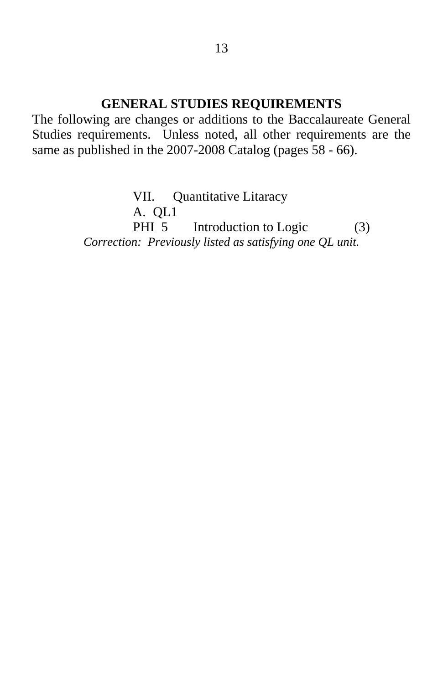#### **GENERAL STUDIES REQUIREMENTS**

The following are changes or additions to the Baccalaureate General Studies requirements. Unless noted, all other requirements are the same as published in the 2007-2008 Catalog (pages 58 - 66).

> VII. Quantitative Litaracy A. QL1 PHI 5 Introduction to Logic (3) *Correction: Previously listed as satisfying one QL unit.*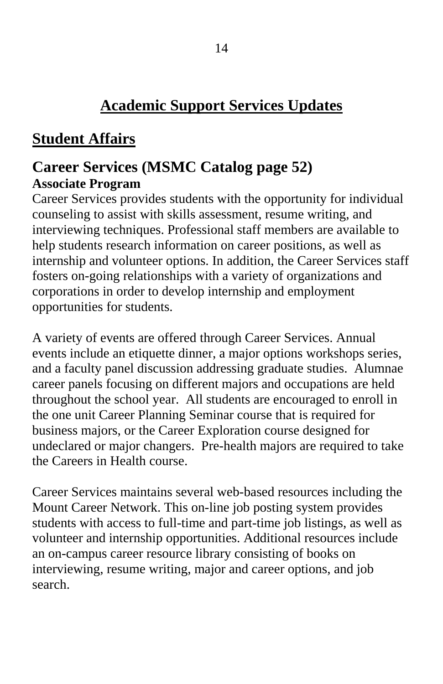## **Academic Support Services Updates**

## **Student Affairs**

## **Career Services (MSMC Catalog page 52) Associate Program**

Career Services provides students with the opportunity for individual counseling to assist with skills assessment, resume writing, and interviewing techniques. Professional staff members are available to help students research information on career positions, as well as internship and volunteer options. In addition, the Career Services staff fosters on-going relationships with a variety of organizations and corporations in order to develop internship and employment opportunities for students.

A variety of events are offered through Career Services. Annual events include an etiquette dinner, a major options workshops series, and a faculty panel discussion addressing graduate studies. Alumnae career panels focusing on different majors and occupations are held throughout the school year. All students are encouraged to enroll in the one unit Career Planning Seminar course that is required for business majors, or the Career Exploration course designed for undeclared or major changers. Pre-health majors are required to take the Careers in Health course.

Career Services maintains several web-based resources including the Mount Career Network. This on-line job posting system provides students with access to full-time and part-time job listings, as well as volunteer and internship opportunities. Additional resources include an on-campus career resource library consisting of books on interviewing, resume writing, major and career options, and job search.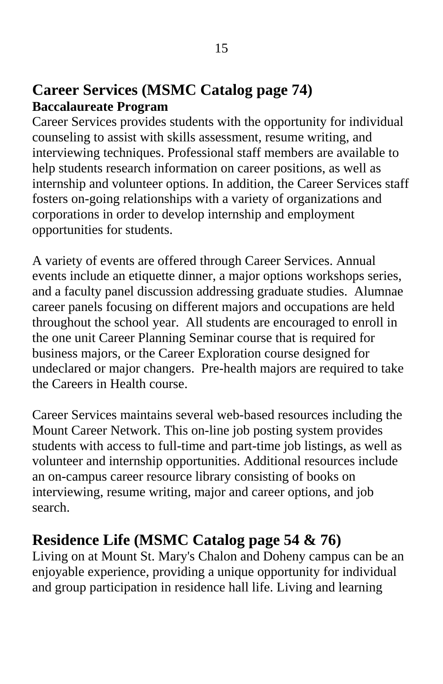### **Career Services (MSMC Catalog page 74) Baccalaureate Program**

Career Services provides students with the opportunity for individual counseling to assist with skills assessment, resume writing, and interviewing techniques. Professional staff members are available to help students research information on career positions, as well as internship and volunteer options. In addition, the Career Services staff fosters on-going relationships with a variety of organizations and corporations in order to develop internship and employment opportunities for students.

A variety of events are offered through Career Services. Annual events include an etiquette dinner, a major options workshops series, and a faculty panel discussion addressing graduate studies. Alumnae career panels focusing on different majors and occupations are held throughout the school year. All students are encouraged to enroll in the one unit Career Planning Seminar course that is required for business majors, or the Career Exploration course designed for undeclared or major changers. Pre-health majors are required to take the Careers in Health course.

Career Services maintains several web-based resources including the Mount Career Network. This on-line job posting system provides students with access to full-time and part-time job listings, as well as volunteer and internship opportunities. Additional resources include an on-campus career resource library consisting of books on interviewing, resume writing, major and career options, and job search.

## **Residence Life (MSMC Catalog page 54 & 76)**

Living on at Mount St. Mary's Chalon and Doheny campus can be an enjoyable experience, providing a unique opportunity for individual and group participation in residence hall life. Living and learning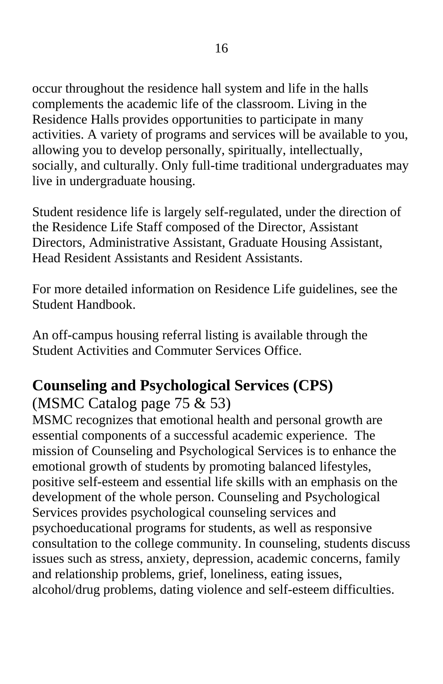occur throughout the residence hall system and life in the halls complements the academic life of the classroom. Living in the Residence Halls provides opportunities to participate in many activities. A variety of programs and services will be available to you, allowing you to develop personally, spiritually, intellectually, socially, and culturally. Only full-time traditional undergraduates may live in undergraduate housing.

Student residence life is largely self-regulated, under the direction of the Residence Life Staff composed of the Director, Assistant Directors, Administrative Assistant, Graduate Housing Assistant, Head Resident Assistants and Resident Assistants.

For more detailed information on Residence Life guidelines, see the Student Handbook.

An off-campus housing referral listing is available through the Student Activities and Commuter Services Office.

## **Counseling and Psychological Services (CPS)**

## (MSMC Catalog page 75 & 53)

MSMC recognizes that emotional health and personal growth are essential components of a successful academic experience. The mission of Counseling and Psychological Services is to enhance the emotional growth of students by promoting balanced lifestyles, positive self-esteem and essential life skills with an emphasis on the development of the whole person. Counseling and Psychological Services provides psychological counseling services and psychoeducational programs for students, as well as responsive consultation to the college community. In counseling, students discuss issues such as stress, anxiety, depression, academic concerns, family and relationship problems, grief, loneliness, eating issues, alcohol/drug problems, dating violence and self-esteem difficulties.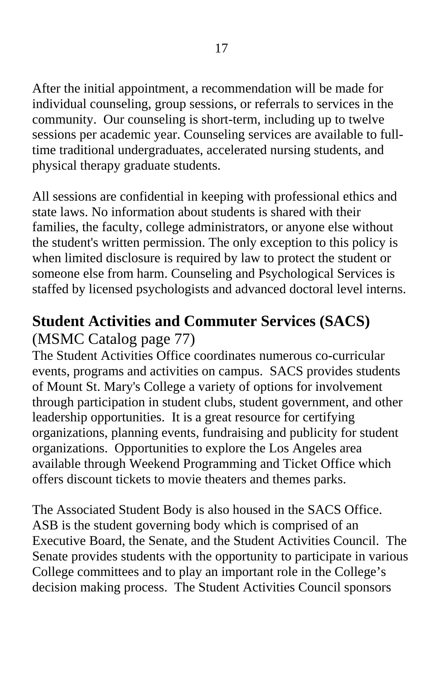After the initial appointment, a recommendation will be made for individual counseling, group sessions, or referrals to services in the community. Our counseling is short-term, including up to twelve sessions per academic year. Counseling services are available to fulltime traditional undergraduates, accelerated nursing students, and physical therapy graduate students.

All sessions are confidential in keeping with professional ethics and state laws. No information about students is shared with their families, the faculty, college administrators, or anyone else without the student's written permission. The only exception to this policy is when limited disclosure is required by law to protect the student or someone else from harm. Counseling and Psychological Services is staffed by licensed psychologists and advanced doctoral level interns.

## **Student Activities and Commuter Services (SACS)**

## (MSMC Catalog page 77)

The Student Activities Office coordinates numerous co-curricular events, programs and activities on campus. SACS provides students of Mount St. Mary's College a variety of options for involvement through participation in student clubs, student government, and other leadership opportunities. It is a great resource for certifying organizations, planning events, fundraising and publicity for student organizations. Opportunities to explore the Los Angeles area available through Weekend Programming and Ticket Office which offers discount tickets to movie theaters and themes parks.

The Associated Student Body is also housed in the SACS Office. ASB is the student governing body which is comprised of an Executive Board, the Senate, and the Student Activities Council. The Senate provides students with the opportunity to participate in various College committees and to play an important role in the College's decision making process. The Student Activities Council sponsors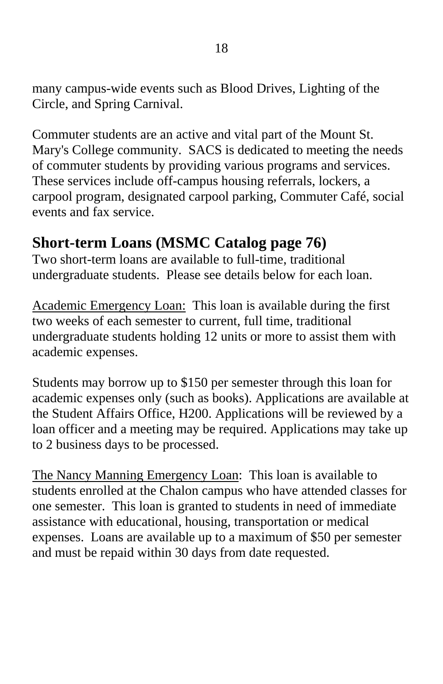many campus-wide events such as Blood Drives, Lighting of the Circle, and Spring Carnival.

Commuter students are an active and vital part of the Mount St. Mary's College community. SACS is dedicated to meeting the needs of commuter students by providing various programs and services. These services include off-campus housing referrals, lockers, a carpool program, designated carpool parking, Commuter Café, social events and fax service.

## **Short-term Loans (MSMC Catalog page 76)**

Two short-term loans are available to full-time, traditional undergraduate students. Please see details below for each loan.

Academic Emergency Loan: This loan is available during the first two weeks of each semester to current, full time, traditional undergraduate students holding 12 units or more to assist them with academic expenses.

Students may borrow up to \$150 per semester through this loan for academic expenses only (such as books). Applications are available at the Student Affairs Office, H200. Applications will be reviewed by a loan officer and a meeting may be required. Applications may take up to 2 business days to be processed.

The Nancy Manning Emergency Loan: This loan is available to students enrolled at the Chalon campus who have attended classes for one semester. This loan is granted to students in need of immediate assistance with educational, housing, transportation or medical expenses. Loans are available up to a maximum of \$50 per semester and must be repaid within 30 days from date requested.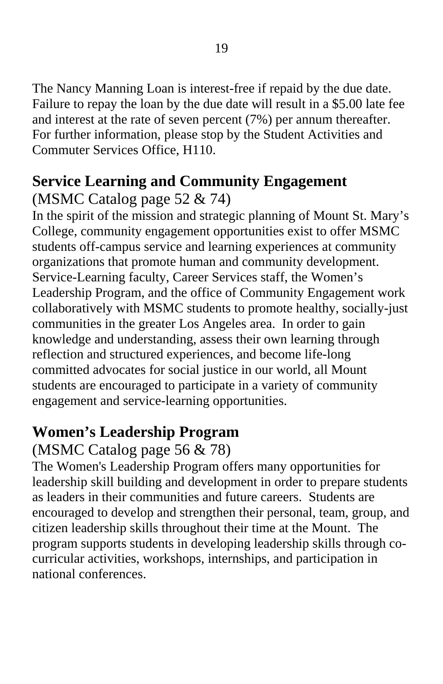The Nancy Manning Loan is interest-free if repaid by the due date. Failure to repay the loan by the due date will result in a \$5.00 late fee and interest at the rate of seven percent (7%) per annum thereafter. For further information, please stop by the Student Activities and Commuter Services Office, H110.

# **Service Learning and Community Engagement**

## (MSMC Catalog page 52 & 74)

In the spirit of the mission and strategic planning of Mount St. Mary's College, community engagement opportunities exist to offer MSMC students off-campus service and learning experiences at community organizations that promote human and community development. Service-Learning faculty, Career Services staff, the Women's Leadership Program, and the office of Community Engagement work collaboratively with MSMC students to promote healthy, socially-just communities in the greater Los Angeles area. In order to gain knowledge and understanding, assess their own learning through reflection and structured experiences, and become life-long committed advocates for social justice in our world, all Mount students are encouraged to participate in a variety of community engagement and service-learning opportunities.

## **Women's Leadership Program**

## (MSMC Catalog page 56 & 78)

The Women's Leadership Program offers many opportunities for leadership skill building and development in order to prepare students as leaders in their communities and future careers. Students are encouraged to develop and strengthen their personal, team, group, and citizen leadership skills throughout their time at the Mount. The program supports students in developing leadership skills through cocurricular activities, workshops, internships, and participation in national conferences.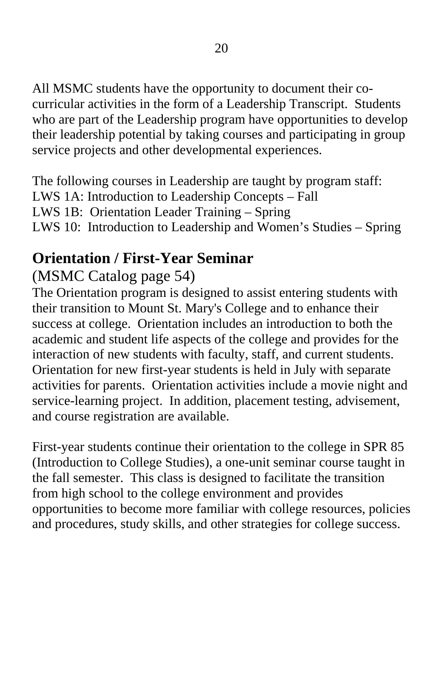All MSMC students have the opportunity to document their cocurricular activities in the form of a Leadership Transcript. Students who are part of the Leadership program have opportunities to develop their leadership potential by taking courses and participating in group service projects and other developmental experiences.

The following courses in Leadership are taught by program staff: LWS 1A: Introduction to Leadership Concepts – Fall LWS 1B: Orientation Leader Training – Spring LWS 10: Introduction to Leadership and Women's Studies – Spring

## **Orientation / First-Year Seminar**

## (MSMC Catalog page 54)

The Orientation program is designed to assist entering students with their transition to Mount St. Mary's College and to enhance their success at college. Orientation includes an introduction to both the academic and student life aspects of the college and provides for the interaction of new students with faculty, staff, and current students. Orientation for new first-year students is held in July with separate activities for parents. Orientation activities include a movie night and service-learning project. In addition, placement testing, advisement, and course registration are available.

First-year students continue their orientation to the college in SPR 85 (Introduction to College Studies), a one-unit seminar course taught in the fall semester. This class is designed to facilitate the transition from high school to the college environment and provides opportunities to become more familiar with college resources, policies and procedures, study skills, and other strategies for college success.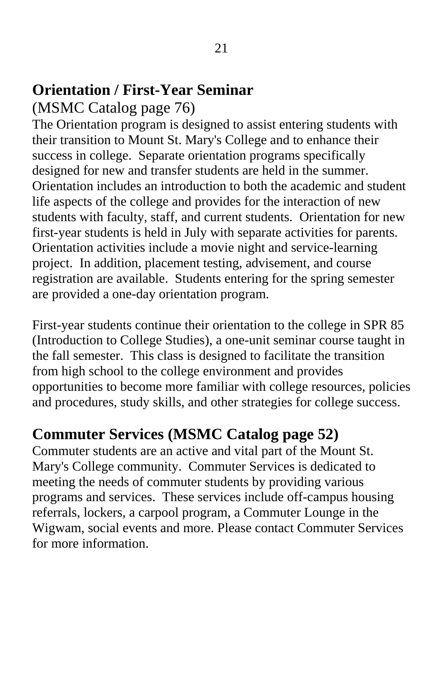## **Orientation / First-Year Seminar**

### (MSMC Catalog page 76)

The Orientation program is designed to assist entering students with their transition to Mount St. Mary's College and to enhance their success in college. Separate orientation programs specifically designed for new and transfer students are held in the summer. Orientation includes an introduction to both the academic and student life aspects of the college and provides for the interaction of new students with faculty, staff, and current students. Orientation for new first-year students is held in July with separate activities for parents. Orientation activities include a movie night and service-learning project. In addition, placement testing, advisement, and course registration are available. Students entering for the spring semester are provided a one-day orientation program.

First-year students continue their orientation to the college in SPR 85 (Introduction to College Studies), a one-unit seminar course taught in the fall semester. This class is designed to facilitate the transition from high school to the college environment and provides opportunities to become more familiar with college resources, policies and procedures, study skills, and other strategies for college success.

## **Commuter Services (MSMC Catalog page 52)**

Commuter students are an active and vital part of the Mount St. Mary's College community. Commuter Services is dedicated to meeting the needs of commuter students by providing various programs and services. These services include off-campus housing referrals, lockers, a carpool program, a Commuter Lounge in the Wigwam, social events and more. Please contact Commuter Services for more information.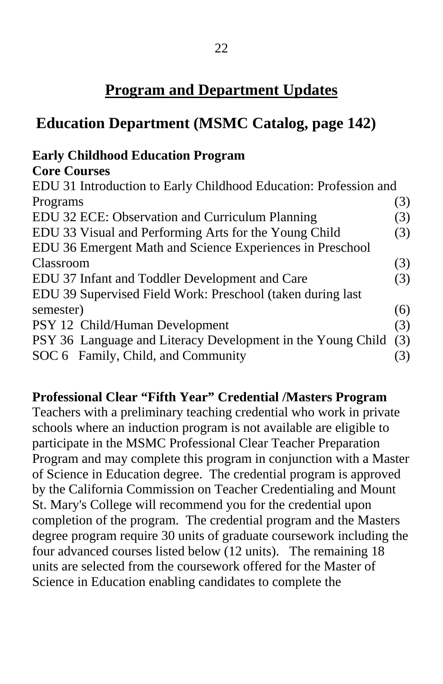## **Program and Department Updates**

## **Education Department (MSMC Catalog, page 142)**

### **Early Childhood Education Program**

#### **Core Courses**

| EDU 31 Introduction to Early Childhood Education: Profession and |     |
|------------------------------------------------------------------|-----|
| Programs                                                         | (3) |
| EDU 32 ECE: Observation and Curriculum Planning                  | (3) |
| EDU 33 Visual and Performing Arts for the Young Child            | (3) |
| EDU 36 Emergent Math and Science Experiences in Preschool        |     |
| Classroom                                                        | (3) |
| EDU 37 Infant and Toddler Development and Care                   | (3) |
| EDU 39 Supervised Field Work: Preschool (taken during last       |     |
| semester)                                                        | (6) |
| PSY 12 Child/Human Development                                   | (3) |
| PSY 36 Language and Literacy Development in the Young Child      | (3) |
| SOC 6 Family, Child, and Community                               | (3) |

#### **Professional Clear "Fifth Year" Credential /Masters Program**

Teachers with a preliminary teaching credential who work in private schools where an induction program is not available are eligible to participate in the MSMC Professional Clear Teacher Preparation Program and may complete this program in conjunction with a Master of Science in Education degree. The credential program is approved by the California Commission on Teacher Credentialing and Mount St. Mary's College will recommend you for the credential upon completion of the program. The credential program and the Masters degree program require 30 units of graduate coursework including the four advanced courses listed below (12 units). The remaining 18 units are selected from the coursework offered for the Master of Science in Education enabling candidates to complete the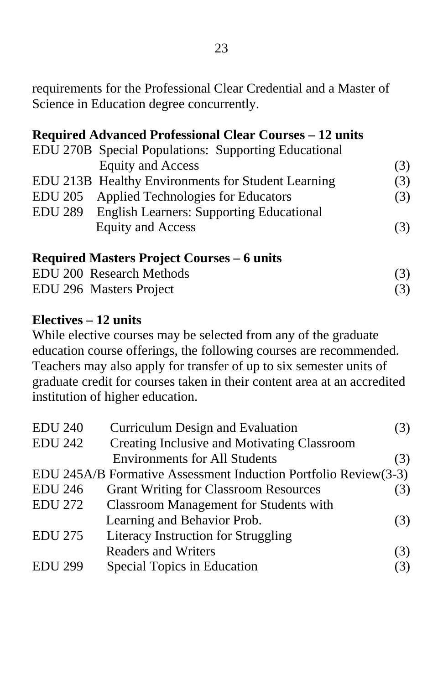requirements for the Professional Clear Credential and a Master of Science in Education degree concurrently.

#### **Required Advanced Professional Clear Courses – 12 units**

|                | EDU 270B Special Populations: Supporting Educational |     |
|----------------|------------------------------------------------------|-----|
|                | <b>Equity and Access</b>                             | (3) |
|                | EDU 213B Healthy Environments for Student Learning   | (3) |
|                | EDU 205 Applied Technologies for Educators           | (3) |
| <b>EDU 289</b> | <b>English Learners: Supporting Educational</b>      |     |
|                | <b>Equity and Access</b>                             | (3) |
|                |                                                      |     |

**Required Masters Project Courses – 6 units**  EDU 200 Research Methods (3) EDU 296 Masters Project (3)

#### **Electives – 12 units**

While elective courses may be selected from any of the graduate education course offerings, the following courses are recommended. Teachers may also apply for transfer of up to six semester units of graduate credit for courses taken in their content area at an accredited institution of higher education.

| <b>EDU 240</b> | Curriculum Design and Evaluation                                | (3) |
|----------------|-----------------------------------------------------------------|-----|
| <b>EDU 242</b> | Creating Inclusive and Motivating Classroom                     |     |
|                | <b>Environments for All Students</b>                            | (3) |
|                | EDU 245A/B Formative Assessment Induction Portfolio Review(3-3) |     |
| <b>EDU 246</b> | <b>Grant Writing for Classroom Resources</b>                    | (3) |
| <b>EDU 272</b> | <b>Classroom Management for Students with</b>                   |     |
|                | Learning and Behavior Prob.                                     | (3) |
| <b>EDU 275</b> | Literacy Instruction for Struggling                             |     |
|                | <b>Readers and Writers</b>                                      | (3) |
| <b>EDU 299</b> | Special Topics in Education                                     | (3) |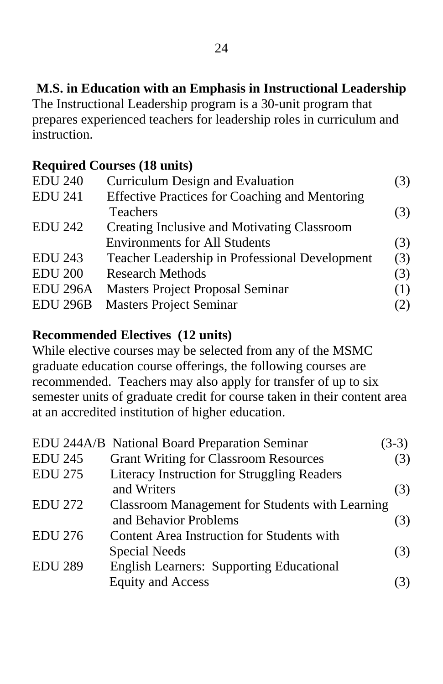### **M.S. in Education with an Emphasis in Instructional Leadership**

The Instructional Leadership program is a 30-unit program that prepares experienced teachers for leadership roles in curriculum and instruction.

#### **Required Courses (18 units)**

| <b>EDU 240</b>  | Curriculum Design and Evaluation                      | (3) |
|-----------------|-------------------------------------------------------|-----|
| <b>EDU 241</b>  | <b>Effective Practices for Coaching and Mentoring</b> |     |
|                 | <b>Teachers</b>                                       | (3) |
| <b>EDU 242</b>  | Creating Inclusive and Motivating Classroom           |     |
|                 | <b>Environments for All Students</b>                  | (3) |
| <b>EDU 243</b>  | Teacher Leadership in Professional Development        | (3) |
| <b>EDU 200</b>  | <b>Research Methods</b>                               | (3) |
| <b>EDU 296A</b> | <b>Masters Project Proposal Seminar</b>               | (1) |
| <b>EDU 296B</b> | <b>Masters Project Seminar</b>                        | (2) |

#### **Recommended Electives (12 units)**

While elective courses may be selected from any of the MSMC graduate education course offerings, the following courses are recommended. Teachers may also apply for transfer of up to six semester units of graduate credit for course taken in their content area at an accredited institution of higher education.

|                | EDU 244A/B National Board Preparation Seminar      | $(3-3)$ |
|----------------|----------------------------------------------------|---------|
| <b>EDU 245</b> | <b>Grant Writing for Classroom Resources</b>       | (3)     |
| <b>EDU 275</b> | <b>Literacy Instruction for Struggling Readers</b> |         |
|                | and Writers                                        | (3)     |
| <b>EDU 272</b> | Classroom Management for Students with Learning    |         |
|                | and Behavior Problems                              | (3)     |
| <b>EDU 276</b> | Content Area Instruction for Students with         |         |
|                | <b>Special Needs</b>                               | (3)     |
| <b>EDU 289</b> | <b>English Learners: Supporting Educational</b>    |         |
|                | <b>Equity and Access</b>                           |         |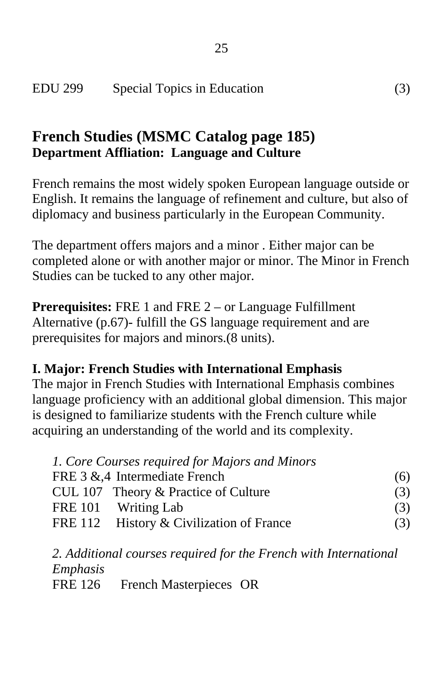## **French Studies (MSMC Catalog page 185) Department Affliation: Language and Culture**

French remains the most widely spoken European language outside or English. It remains the language of refinement and culture, but also of diplomacy and business particularly in the European Community.

The department offers majors and a minor . Either major can be completed alone or with another major or minor. The Minor in French Studies can be tucked to any other major.

**Prerequisites:** FRE 1 and FRE 2 – or Language Fulfillment Alternative (p.67)- fulfill the GS language requirement and are prerequisites for majors and minors.(8 units).

#### **I. Major: French Studies with International Emphasis**

The major in French Studies with International Emphasis combines language proficiency with an additional global dimension. This major is designed to familiarize students with the French culture while acquiring an understanding of the world and its complexity.

| 1. Core Courses required for Majors and Minors |     |
|------------------------------------------------|-----|
| FRE 3 &,4 Intermediate French                  | (6) |
| CUL 107 Theory & Practice of Culture           | (3) |
| FRE 101 Writing Lab                            | (3) |
| FRE 112 History & Civilization of France       | (3) |

*2. Additional courses required for the French with International Emphasis*  FRE 126 French Masterpieces OR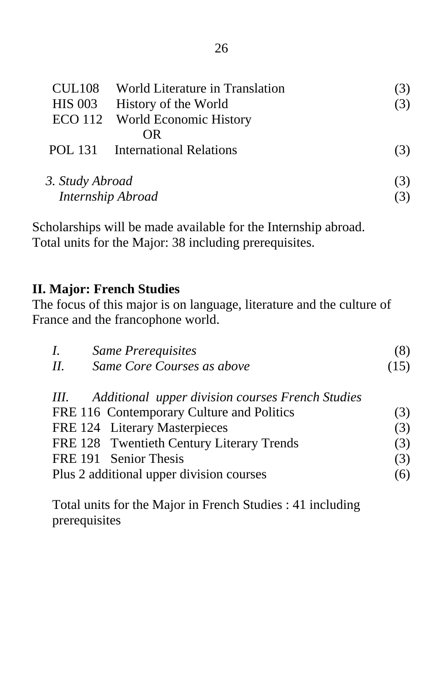|                 | CUL108 World Literature in Translation |     |
|-----------------|----------------------------------------|-----|
| <b>HIS 003</b>  | History of the World                   | (3) |
|                 | ECO 112 World Economic History         |     |
|                 | OR.                                    |     |
|                 | POL 131 International Relations        | (3) |
| 3. Study Abroad |                                        | (3) |
|                 | Internship Abroad                      |     |

Scholarships will be made available for the Internship abroad. Total units for the Major: 38 including prerequisites.

#### **II. Major: French Studies**

The focus of this major is on language, literature and the culture of France and the francophone world.

| <b>Same Prerequisites</b><br>$I_{\cdot}$              | (8)  |
|-------------------------------------------------------|------|
| Same Core Courses as above<br>Н.                      | (15) |
| III. Additional upper division courses French Studies |      |
| FRE 116 Contemporary Culture and Politics             | (3)  |
| FRE 124 Literary Masterpieces                         | (3)  |
| FRE 128 Twentieth Century Literary Trends             | (3)  |
| FRE 191 Senior Thesis                                 | (3)  |
| Plus 2 additional upper division courses              | (6)  |

Total units for the Major in French Studies : 41 including prerequisites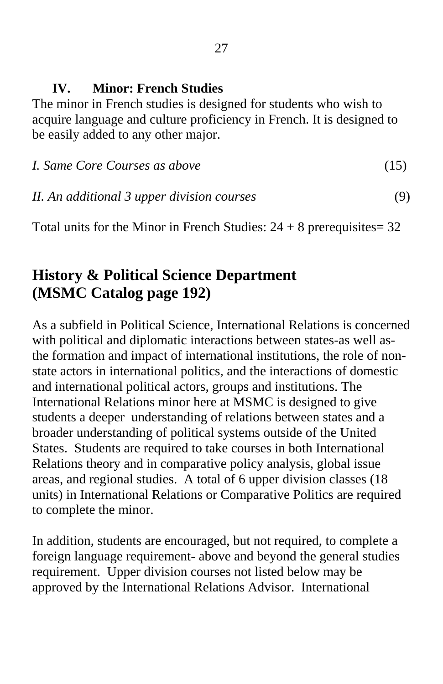#### **IV. Minor: French Studies**

The minor in French studies is designed for students who wish to acquire language and culture proficiency in French. It is designed to be easily added to any other major.

| I. Same Core Courses as above |  |
|-------------------------------|--|
|                               |  |

### *II. An additional 3 upper division courses* (9)

Total units for the Minor in French Studies:  $24 + 8$  prerequisites = 32

## **History & Political Science Department (MSMC Catalog page 192)**

As a subfield in Political Science, International Relations is concerned with political and diplomatic interactions between states-as well asthe formation and impact of international institutions, the role of nonstate actors in international politics, and the interactions of domestic and international political actors, groups and institutions. The International Relations minor here at MSMC is designed to give students a deeper understanding of relations between states and a broader understanding of political systems outside of the United States. Students are required to take courses in both International Relations theory and in comparative policy analysis, global issue areas, and regional studies. A total of 6 upper division classes (18 units) in International Relations or Comparative Politics are required to complete the minor.

In addition, students are encouraged, but not required, to complete a foreign language requirement- above and beyond the general studies requirement. Upper division courses not listed below may be approved by the International Relations Advisor. International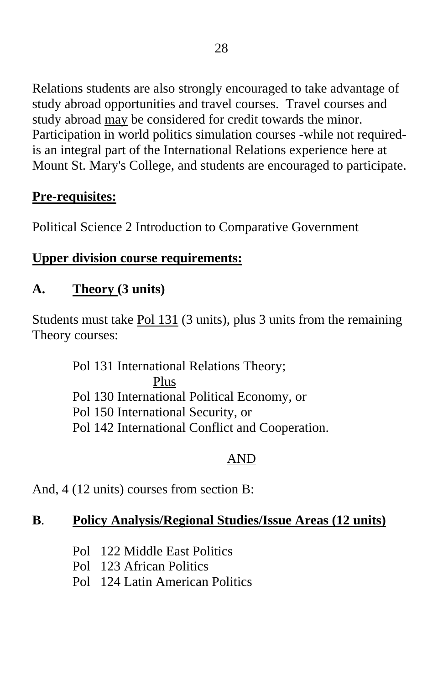Relations students are also strongly encouraged to take advantage of study abroad opportunities and travel courses. Travel courses and study abroad may be considered for credit towards the minor. Participation in world politics simulation courses -while not requiredis an integral part of the International Relations experience here at Mount St. Mary's College, and students are encouraged to participate.

## **Pre-requisites:**

Political Science 2 Introduction to Comparative Government

### **Upper division course requirements:**

## **A. Theory (3 units)**

Students must take Pol 131 (3 units), plus 3 units from the remaining Theory courses:

> Pol 131 International Relations Theory; Plus Pol 130 International Political Economy, or Pol 150 International Security, or Pol 142 International Conflict and Cooperation.

## AND

And, 4 (12 units) courses from section B:

### **B**. **Policy Analysis/Regional Studies/Issue Areas (12 units)**

- Pol 122 Middle East Politics
- Pol 123 African Politics
- Pol 124 Latin American Politics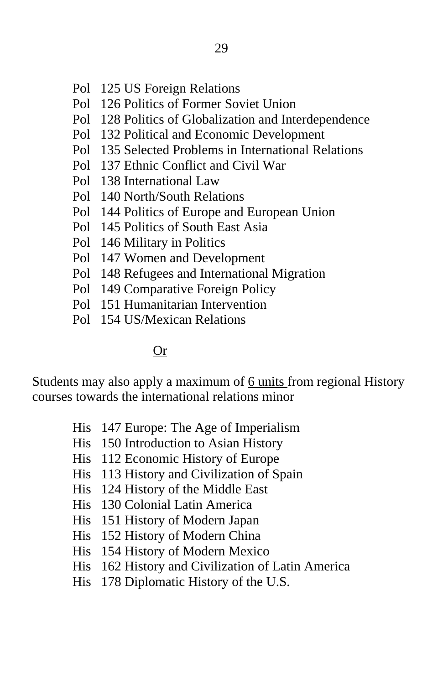- Pol 125 US Foreign Relations
- Pol 126 Politics of Former Soviet Union
- Pol 128 Politics of Globalization and Interdependence
- Pol 132 Political and Economic Development
- Pol 135 Selected Problems in International Relations
- Pol 137 Ethnic Conflict and Civil War
- Pol 138 International Law
- Pol 140 North/South Relations
- Pol 144 Politics of Europe and European Union
- Pol 145 Politics of South East Asia
- Pol 146 Military in Politics
- Pol 147 Women and Development
- Pol 148 Refugees and International Migration
- Pol 149 Comparative Foreign Policy
- Pol 151 Humanitarian Intervention
- Pol 154 US/Mexican Relations

#### Or

Students may also apply a maximum of 6 units from regional History courses towards the international relations minor

- His 147 Europe: The Age of Imperialism
- His 150 Introduction to Asian History
- His 112 Economic History of Europe
- His 113 History and Civilization of Spain
- His 124 History of the Middle East
- His 130 Colonial Latin America
- His 151 History of Modern Japan
- His 152 History of Modern China
- His 154 History of Modern Mexico
- His 162 History and Civilization of Latin America
- His 178 Diplomatic History of the U.S.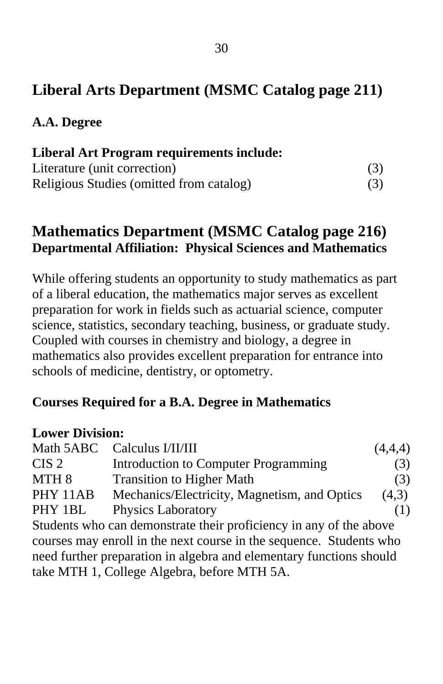## **Liberal Arts Department (MSMC Catalog page 211)**

**A.A. Degree** 

| <b>Liberal Art Program requirements include:</b> |     |
|--------------------------------------------------|-----|
| Literature (unit correction)                     | (3) |
| Religious Studies (omitted from catalog)         | (3) |

### **Mathematics Department (MSMC Catalog page 216) Departmental Affiliation: Physical Sciences and Mathematics**

While offering students an opportunity to study mathematics as part of a liberal education, the mathematics major serves as excellent preparation for work in fields such as actuarial science, computer science, statistics, secondary teaching, business, or graduate study. Coupled with courses in chemistry and biology, a degree in mathematics also provides excellent preparation for entrance into schools of medicine, dentistry, or optometry.

#### **Courses Required for a B.A. Degree in Mathematics**

#### **Lower Division:**

|                  | Math 5ABC Calculus I/II/III                                         | (4,4,4) |
|------------------|---------------------------------------------------------------------|---------|
| CIS <sub>2</sub> | Introduction to Computer Programming                                | (3)     |
| MTH <sub>8</sub> | <b>Transition to Higher Math</b>                                    | (3)     |
| PHY 11AB         | Mechanics/Electricity, Magnetism, and Optics                        | (4,3)   |
| PHY 1BL          | <b>Physics Laboratory</b>                                           | (1)     |
|                  | Students who can demonstrate their proficiency in any of the above  |         |
|                  | courses may enroll in the next course in the sequence. Students who |         |
|                  | need further preparation in algebra and elementary functions should |         |
|                  | take MTH 1, College Algebra, before MTH 5A.                         |         |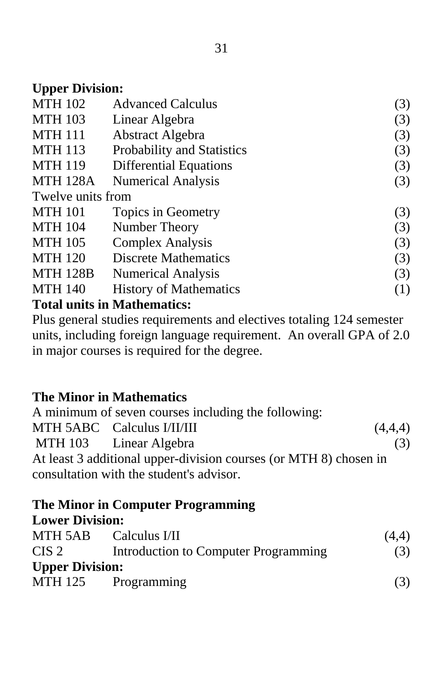### **Upper Division:**

| <b>MTH 102</b>    | <b>Advanced Calculus</b>      | (3) |
|-------------------|-------------------------------|-----|
| <b>MTH 103</b>    | Linear Algebra                | (3) |
| <b>MTH 111</b>    | Abstract Algebra              | (3) |
| <b>MTH 113</b>    | Probability and Statistics    | (3) |
| <b>MTH 119</b>    | Differential Equations        | (3) |
| <b>MTH 128A</b>   | <b>Numerical Analysis</b>     | (3) |
| Twelve units from |                               |     |
| <b>MTH 101</b>    | Topics in Geometry            | (3) |
| <b>MTH 104</b>    | Number Theory                 | (3) |
| <b>MTH 105</b>    | <b>Complex Analysis</b>       | (3) |
| <b>MTH 120</b>    | <b>Discrete Mathematics</b>   | (3) |
| <b>MTH 128B</b>   | <b>Numerical Analysis</b>     | (3) |
| <b>MTH 140</b>    | <b>History of Mathematics</b> | (1) |
|                   | Total unite in Mathematica    |     |

# **Total units in Mathematics:**

Plus general studies requirements and electives totaling 124 semester units, including foreign language requirement. An overall GPA of 2.0 in major courses is required for the degree.

### **The Minor in Mathematics**

| A minimum of seven courses including the following:               |         |
|-------------------------------------------------------------------|---------|
| MTH 5ABC Calculus I/II/III                                        | (4,4,4) |
| MTH 103 Linear Algebra                                            | (3)     |
| At least 3 additional upper-division courses (or MTH 8) chosen in |         |
| consultation with the student's advisor.                          |         |

#### **The Minor in Computer Programming Lower Division:**

| понстрания.            |                                      |       |
|------------------------|--------------------------------------|-------|
|                        | MTH 5AB Calculus I/II                | (4,4) |
| $CIS$ 2                | Introduction to Computer Programming | (3)   |
| <b>Upper Division:</b> |                                      |       |
| MTH 125                | Programming                          | (3)   |
|                        |                                      |       |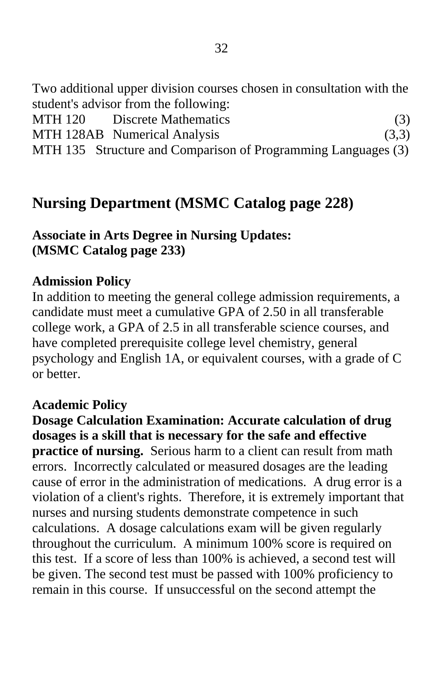Two additional upper division courses chosen in consultation with the student's advisor from the following:

| MTH 120 | Discrete Mathematics                                          | (3)   |
|---------|---------------------------------------------------------------|-------|
|         | MTH 128AB Numerical Analysis                                  | (3,3) |
|         | MTH 135 Structure and Comparison of Programming Languages (3) |       |

## **Nursing Department (MSMC Catalog page 228)**

#### **Associate in Arts Degree in Nursing Updates: (MSMC Catalog page 233)**

#### **Admission Policy**

In addition to meeting the general college admission requirements, a candidate must meet a cumulative GPA of 2.50 in all transferable college work, a GPA of 2.5 in all transferable science courses, and have completed prerequisite college level chemistry, general psychology and English 1A, or equivalent courses, with a grade of C or better.

#### **Academic Policy**

**Dosage Calculation Examination: Accurate calculation of drug dosages is a skill that is necessary for the safe and effective practice of nursing.** Serious harm to a client can result from math errors. Incorrectly calculated or measured dosages are the leading cause of error in the administration of medications. A drug error is a violation of a client's rights. Therefore, it is extremely important that nurses and nursing students demonstrate competence in such calculations. A dosage calculations exam will be given regularly throughout the curriculum. A minimum 100% score is required on this test. If a score of less than 100% is achieved, a second test will be given. The second test must be passed with 100% proficiency to remain in this course. If unsuccessful on the second attempt the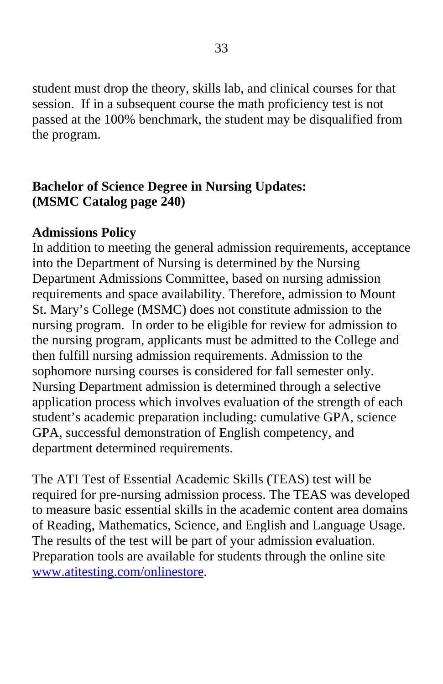student must drop the theory, skills lab, and clinical courses for that session. If in a subsequent course the math proficiency test is not passed at the 100% benchmark, the student may be disqualified from the program.

### **Bachelor of Science Degree in Nursing Updates: (MSMC Catalog page 240)**

#### **Admissions Policy**

In addition to meeting the general admission requirements, acceptance into the Department of Nursing is determined by the Nursing Department Admissions Committee, based on nursing admission requirements and space availability. Therefore, admission to Mount St. Mary's College (MSMC) does not constitute admission to the nursing program. In order to be eligible for review for admission to the nursing program, applicants must be admitted to the College and then fulfill nursing admission requirements. Admission to the sophomore nursing courses is considered for fall semester only. Nursing Department admission is determined through a selective application process which involves evaluation of the strength of each student's academic preparation including: cumulative GPA, science GPA, successful demonstration of English competency, and department determined requirements.

The ATI Test of Essential Academic Skills (TEAS) test will be required for pre-nursing admission process. The TEAS was developed to measure basic essential skills in the academic content area domains of Reading, Mathematics, Science, and English and Language Usage. The results of the test will be part of your admission evaluation. Preparation tools are available for students through the online site [www.atitesting.com/onlinestore](http://www.atitesting.com/onlinestore).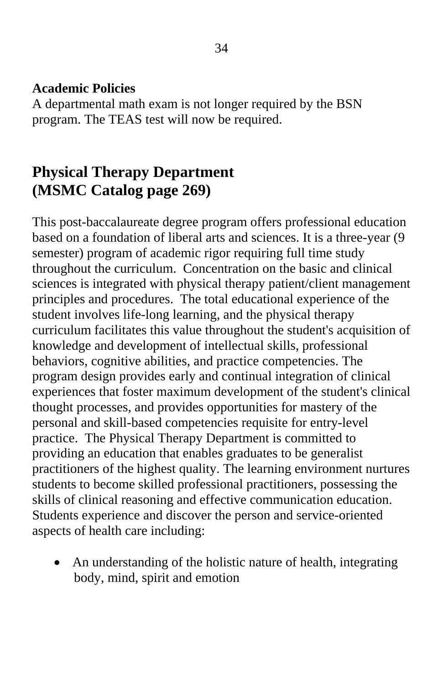#### **Academic Policies**

A departmental math exam is not longer required by the BSN program. The TEAS test will now be required.

## **Physical Therapy Department (MSMC Catalog page 269)**

This post-baccalaureate degree program offers professional education based on a foundation of liberal arts and sciences. It is a three-year (9 semester) program of academic rigor requiring full time study throughout the curriculum. Concentration on the basic and clinical sciences is integrated with physical therapy patient/client management principles and procedures. The total educational experience of the student involves life-long learning, and the physical therapy curriculum facilitates this value throughout the student's acquisition of knowledge and development of intellectual skills, professional behaviors, cognitive abilities, and practice competencies. The program design provides early and continual integration of clinical experiences that foster maximum development of the student's clinical thought processes, and provides opportunities for mastery of the personal and skill-based competencies requisite for entry-level practice. The Physical Therapy Department is committed to providing an education that enables graduates to be generalist practitioners of the highest quality. The learning environment nurtures students to become skilled professional practitioners, possessing the skills of clinical reasoning and effective communication education. Students experience and discover the person and service-oriented aspects of health care including:

• An understanding of the holistic nature of health, integrating body, mind, spirit and emotion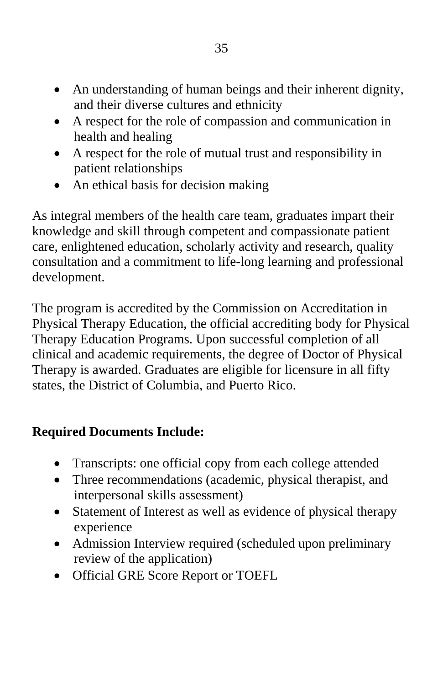- An understanding of human beings and their inherent dignity, and their diverse cultures and ethnicity
- A respect for the role of compassion and communication in health and healing
- A respect for the role of mutual trust and responsibility in patient relationships
- An ethical basis for decision making

As integral members of the health care team, graduates impart their knowledge and skill through competent and compassionate patient care, enlightened education, scholarly activity and research, quality consultation and a commitment to life-long learning and professional development.

The program is accredited by the Commission on Accreditation in Physical Therapy Education, the official accrediting body for Physical Therapy Education Programs. Upon successful completion of all clinical and academic requirements, the degree of Doctor of Physical Therapy is awarded. Graduates are eligible for licensure in all fifty states, the District of Columbia, and Puerto Rico.

### **Required Documents Include:**

- Transcripts: one official copy from each college attended
- Three recommendations (academic, physical therapist, and interpersonal skills assessment)
- Statement of Interest as well as evidence of physical therapy experience
- Admission Interview required (scheduled upon preliminary review of the application)
- Official GRE Score Report or TOEFL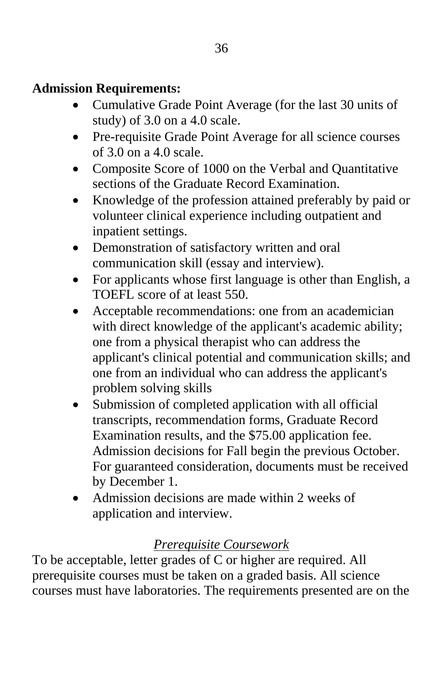### **Admission Requirements:**

- Cumulative Grade Point Average (for the last 30 units of study) of 3.0 on a 4.0 scale.
- Pre-requisite Grade Point Average for all science courses of 3.0 on a 4.0 scale.
- Composite Score of 1000 on the Verbal and Quantitative sections of the Graduate Record Examination.
- Knowledge of the profession attained preferably by paid or volunteer clinical experience including outpatient and inpatient settings.
- Demonstration of satisfactory written and oral communication skill (essay and interview).
- For applicants whose first language is other than English, a TOEFL score of at least 550.
- Acceptable recommendations: one from an academician with direct knowledge of the applicant's academic ability; one from a physical therapist who can address the applicant's clinical potential and communication skills; and one from an individual who can address the applicant's problem solving skills
- Submission of completed application with all official transcripts, recommendation forms, Graduate Record Examination results, and the \$75.00 application fee. Admission decisions for Fall begin the previous October. For guaranteed consideration, documents must be received by December 1.
- Admission decisions are made within 2 weeks of application and interview.

### *Prerequisite Coursework*

To be acceptable, letter grades of C or higher are required. All prerequisite courses must be taken on a graded basis. All science courses must have laboratories. The requirements presented are on the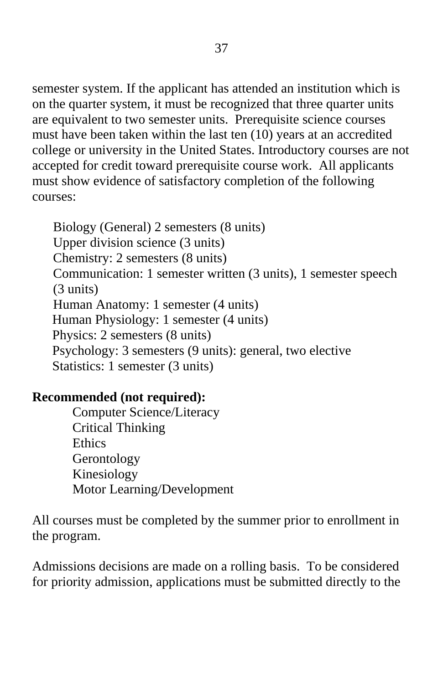semester system. If the applicant has attended an institution which is on the quarter system, it must be recognized that three quarter units are equivalent to two semester units. Prerequisite science courses must have been taken within the last ten (10) years at an accredited college or university in the United States. Introductory courses are not accepted for credit toward prerequisite course work. All applicants must show evidence of satisfactory completion of the following courses:

Biology (General) 2 semesters (8 units) Upper division science (3 units) Chemistry: 2 semesters (8 units) Communication: 1 semester written (3 units), 1 semester speech (3 units) Human Anatomy: 1 semester (4 units) Human Physiology: 1 semester (4 units) Physics: 2 semesters (8 units) Psychology: 3 semesters (9 units): general, two elective Statistics: 1 semester (3 units)

#### **Recommended (not required):**

Computer Science/Literacy Critical Thinking **Ethics** Gerontology Kinesiology Motor Learning/Development

All courses must be completed by the summer prior to enrollment in the program.

Admissions decisions are made on a rolling basis. To be considered for priority admission, applications must be submitted directly to the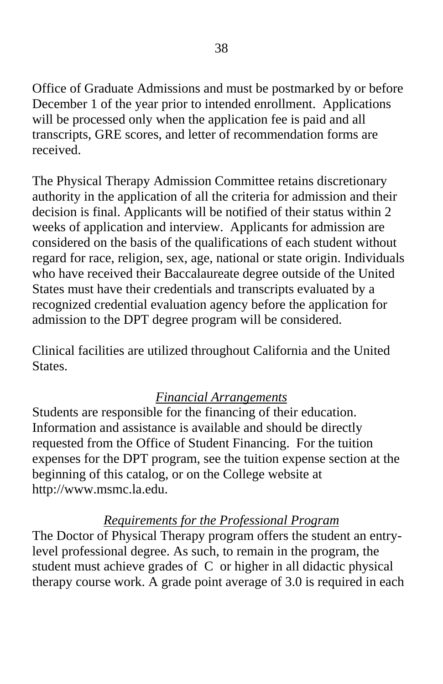Office of Graduate Admissions and must be postmarked by or before December 1 of the year prior to intended enrollment. Applications will be processed only when the application fee is paid and all transcripts, GRE scores, and letter of recommendation forms are received.

The Physical Therapy Admission Committee retains discretionary authority in the application of all the criteria for admission and their decision is final. Applicants will be notified of their status within 2 weeks of application and interview. Applicants for admission are considered on the basis of the qualifications of each student without regard for race, religion, sex, age, national or state origin. Individuals who have received their Baccalaureate degree outside of the United States must have their credentials and transcripts evaluated by a recognized credential evaluation agency before the application for admission to the DPT degree program will be considered.

Clinical facilities are utilized throughout California and the United States.

#### *Financial Arrangements*

Students are responsible for the financing of their education. Information and assistance is available and should be directly requested from the Office of Student Financing. For the tuition expenses for the DPT program, see the tuition expense section at the beginning of this catalog, or on the College website at http://www.msmc.la.edu.

#### *Requirements for the Professional Program*

The Doctor of Physical Therapy program offers the student an entrylevel professional degree. As such, to remain in the program, the student must achieve grades of C or higher in all didactic physical therapy course work. A grade point average of 3.0 is required in each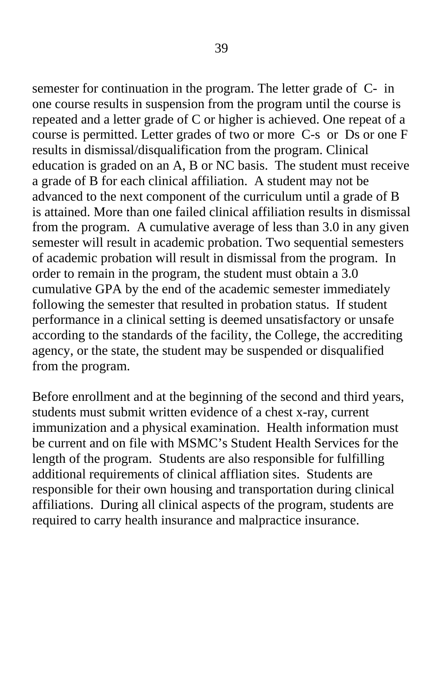semester for continuation in the program. The letter grade of C- in one course results in suspension from the program until the course is repeated and a letter grade of C or higher is achieved. One repeat of a course is permitted. Letter grades of two or more C-s or Ds or one F results in dismissal/disqualification from the program. Clinical education is graded on an A, B or NC basis. The student must receive a grade of B for each clinical affiliation. A student may not be advanced to the next component of the curriculum until a grade of B is attained. More than one failed clinical affiliation results in dismissal from the program. A cumulative average of less than 3.0 in any given semester will result in academic probation. Two sequential semesters of academic probation will result in dismissal from the program. In order to remain in the program, the student must obtain a 3.0 cumulative GPA by the end of the academic semester immediately following the semester that resulted in probation status. If student performance in a clinical setting is deemed unsatisfactory or unsafe according to the standards of the facility, the College, the accrediting agency, or the state, the student may be suspended or disqualified from the program.

Before enrollment and at the beginning of the second and third years, students must submit written evidence of a chest x-ray, current immunization and a physical examination. Health information must be current and on file with MSMC's Student Health Services for the length of the program. Students are also responsible for fulfilling additional requirements of clinical affliation sites. Students are responsible for their own housing and transportation during clinical affiliations. During all clinical aspects of the program, students are required to carry health insurance and malpractice insurance.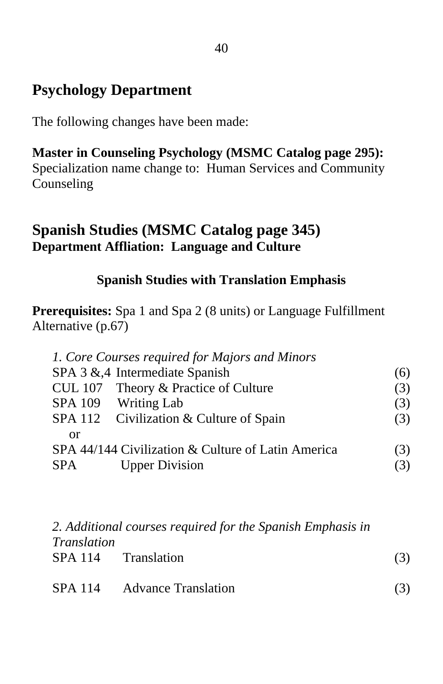## **Psychology Department**

The following changes have been made:

**Master in Counseling Psychology (MSMC Catalog page 295):**  Specialization name change to: Human Services and Community Counseling

### **Spanish Studies (MSMC Catalog page 345) Department Affliation: Language and Culture**

#### **Spanish Studies with Translation Emphasis**

**Prerequisites:** Spa 1 and Spa 2 (8 units) or Language Fulfillment Alternative (p.67)

|                                                    | 1. Core Courses required for Majors and Minors |     |
|----------------------------------------------------|------------------------------------------------|-----|
|                                                    | SPA 3 & 4 Intermediate Spanish                 | (6) |
|                                                    | CUL 107 Theory & Practice of Culture           | (3) |
|                                                    | SPA 109 Writing Lab                            | (3) |
|                                                    | SPA 112 Civilization & Culture of Spain        | (3) |
| or                                                 |                                                |     |
| SPA 44/144 Civilization & Culture of Latin America |                                                | (3) |
| SPA.                                               | <b>Upper Division</b>                          |     |

|                    | 2. Additional courses required for the Spanish Emphasis in |     |
|--------------------|------------------------------------------------------------|-----|
| <i>Translation</i> |                                                            |     |
|                    | SPA 114 Translation                                        | (3) |
|                    |                                                            |     |

| <b>SPA</b> 114 | <b>Advance Translation</b> |  |
|----------------|----------------------------|--|
|----------------|----------------------------|--|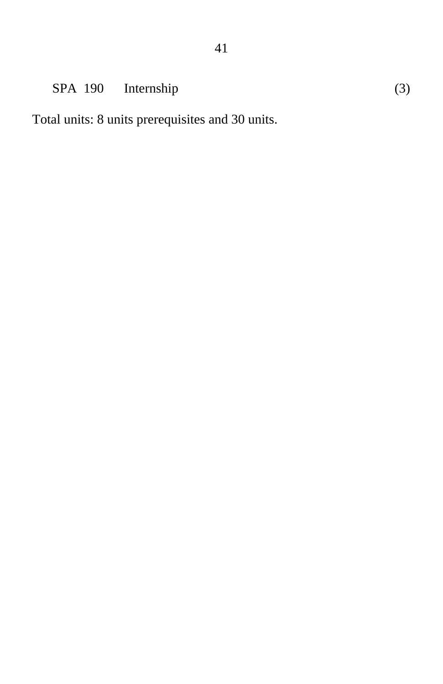## SPA 190 Internship (3)

Total units: 8 units prerequisites and 30 units.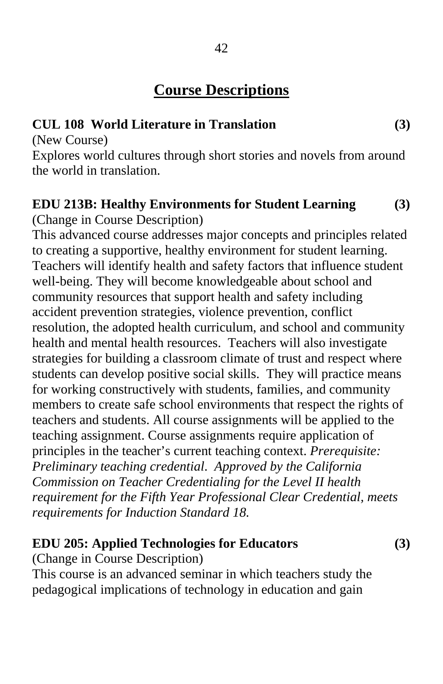## **Course Descriptions**

#### **CUL 108 World Literature in Translation (3)**

(New Course)

Explores world cultures through short stories and novels from around the world in translation.

#### **EDU 213B: Healthy Environments for Student Learning (3)**  (Change in Course Description)

This advanced course addresses major concepts and principles related to creating a supportive, healthy environment for student learning. Teachers will identify health and safety factors that influence student well-being. They will become knowledgeable about school and community resources that support health and safety including accident prevention strategies, violence prevention, conflict resolution, the adopted health curriculum, and school and community health and mental health resources. Teachers will also investigate strategies for building a classroom climate of trust and respect where students can develop positive social skills. They will practice means for working constructively with students, families, and community members to create safe school environments that respect the rights of teachers and students. All course assignments will be applied to the teaching assignment. Course assignments require application of principles in the teacher's current teaching context. *Prerequisite: Preliminary teaching credential*. *Approved by the California Commission on Teacher Credentialing for the Level II health requirement for the Fifth Year Professional Clear Credential, meets requirements for Induction Standard 18.* 

#### **EDU 205: Applied Technologies for Educators (3)**

(Change in Course Description)

This course is an advanced seminar in which teachers study the pedagogical implications of technology in education and gain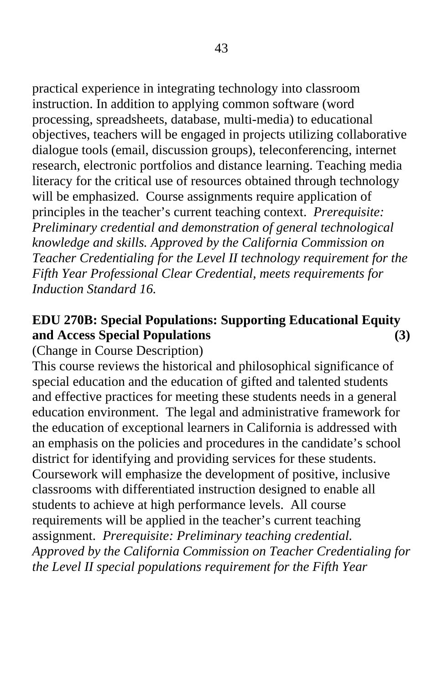practical experience in integrating technology into classroom instruction. In addition to applying common software (word processing, spreadsheets, database, multi-media) to educational objectives, teachers will be engaged in projects utilizing collaborative dialogue tools (email, discussion groups), teleconferencing, internet research, electronic portfolios and distance learning. Teaching media literacy for the critical use of resources obtained through technology will be emphasized. Course assignments require application of principles in the teacher's current teaching context. *Prerequisite: Preliminary credential and demonstration of general technological knowledge and skills. Approved by the California Commission on Teacher Credentialing for the Level II technology requirement for the Fifth Year Professional Clear Credential, meets requirements for Induction Standard 16.* 

#### **EDU 270B: Special Populations: Supporting Educational Equity and Access Special Populations (3)**

(Change in Course Description)

This course reviews the historical and philosophical significance of special education and the education of gifted and talented students and effective practices for meeting these students needs in a general education environment. The legal and administrative framework for the education of exceptional learners in California is addressed with an emphasis on the policies and procedures in the candidate's school district for identifying and providing services for these students. Coursework will emphasize the development of positive, inclusive classrooms with differentiated instruction designed to enable all students to achieve at high performance levels. All course requirements will be applied in the teacher's current teaching assignment. *Prerequisite: Preliminary teaching credential. Approved by the California Commission on Teacher Credentialing for the Level II special populations requirement for the Fifth Year*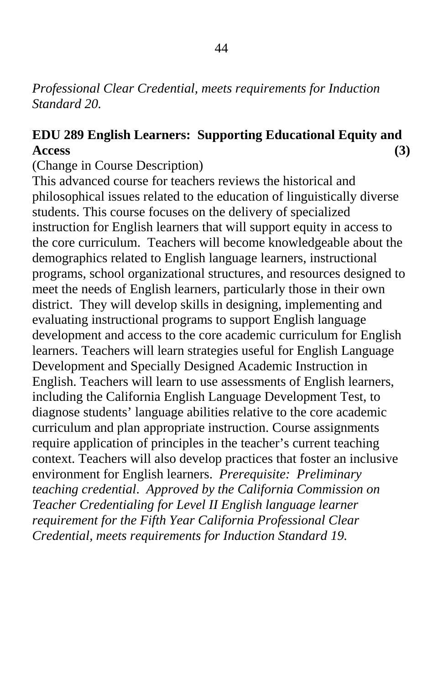#### *Professional Clear Credential, meets requirements for Induction Standard 20.*

#### **EDU 289 English Learners: Supporting Educational Equity and Access (3)**

(Change in Course Description)

This advanced course for teachers reviews the historical and philosophical issues related to the education of linguistically diverse students. This course focuses on the delivery of specialized instruction for English learners that will support equity in access to the core curriculum. Teachers will become knowledgeable about the demographics related to English language learners, instructional programs, school organizational structures, and resources designed to meet the needs of English learners, particularly those in their own district. They will develop skills in designing, implementing and evaluating instructional programs to support English language development and access to the core academic curriculum for English learners. Teachers will learn strategies useful for English Language Development and Specially Designed Academic Instruction in English. Teachers will learn to use assessments of English learners, including the California English Language Development Test, to diagnose students' language abilities relative to the core academic curriculum and plan appropriate instruction. Course assignments require application of principles in the teacher's current teaching context. Teachers will also develop practices that foster an inclusive environment for English learners. *Prerequisite: Preliminary teaching credential*. *Approved by the California Commission on Teacher Credentialing for Level II English language learner requirement for the Fifth Year California Professional Clear Credential, meets requirements for Induction Standard 19.*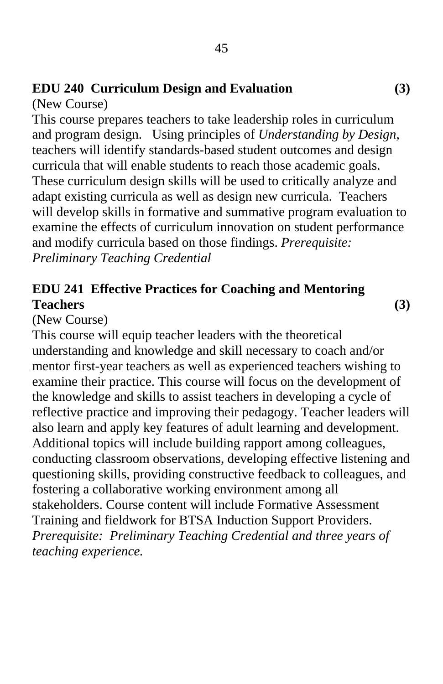## **EDU 240 Curriculum Design and Evaluation (3)**

(New Course)

This course prepares teachers to take leadership roles in curriculum and program design. Using principles of *Understanding by Design,* teachers will identify standards-based student outcomes and design curricula that will enable students to reach those academic goals. These curriculum design skills will be used to critically analyze and adapt existing curricula as well as design new curricula. Teachers will develop skills in formative and summative program evaluation to examine the effects of curriculum innovation on student performance and modify curricula based on those findings. *Prerequisite: Preliminary Teaching Credential* 

### **EDU 241 Effective Practices for Coaching and Mentoring Teachers (3)**

(New Course)

This course will equip teacher leaders with the theoretical understanding and knowledge and skill necessary to coach and/or mentor first-year teachers as well as experienced teachers wishing to examine their practice. This course will focus on the development of the knowledge and skills to assist teachers in developing a cycle of reflective practice and improving their pedagogy. Teacher leaders will also learn and apply key features of adult learning and development. Additional topics will include building rapport among colleagues, conducting classroom observations, developing effective listening and questioning skills, providing constructive feedback to colleagues, and fostering a collaborative working environment among all stakeholders. Course content will include Formative Assessment Training and fieldwork for BTSA Induction Support Providers. *Prerequisite: Preliminary Teaching Credential and three years of teaching experience.*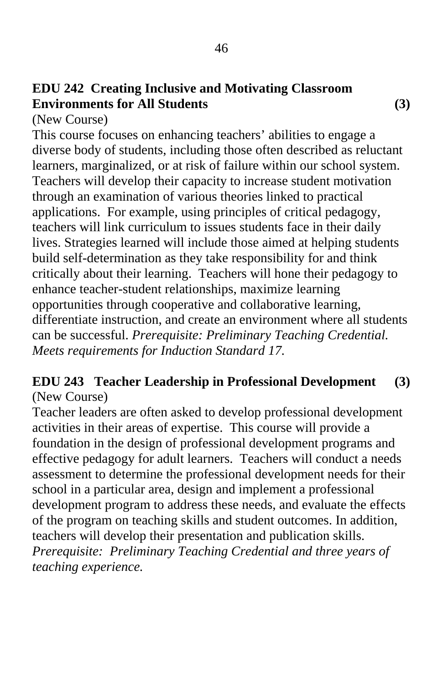### **EDU 242 Creating Inclusive and Motivating Classroom Environments for All Students (3)**

(New Course)

This course focuses on enhancing teachers' abilities to engage a diverse body of students, including those often described as reluctant learners, marginalized, or at risk of failure within our school system. Teachers will develop their capacity to increase student motivation through an examination of various theories linked to practical applications. For example, using principles of critical pedagogy, teachers will link curriculum to issues students face in their daily lives. Strategies learned will include those aimed at helping students build self-determination as they take responsibility for and think critically about their learning. Teachers will hone their pedagogy to enhance teacher-student relationships, maximize learning opportunities through cooperative and collaborative learning, differentiate instruction, and create an environment where all students can be successful. *Prerequisite: Preliminary Teaching Credential. Meets requirements for Induction Standard 17.* 

#### **EDU 243 Teacher Leadership in Professional Development (3)**  (New Course)

Teacher leaders are often asked to develop professional development activities in their areas of expertise. This course will provide a foundation in the design of professional development programs and effective pedagogy for adult learners. Teachers will conduct a needs assessment to determine the professional development needs for their school in a particular area, design and implement a professional development program to address these needs, and evaluate the effects of the program on teaching skills and student outcomes. In addition, teachers will develop their presentation and publication skills. *Prerequisite: Preliminary Teaching Credential and three years of teaching experience.*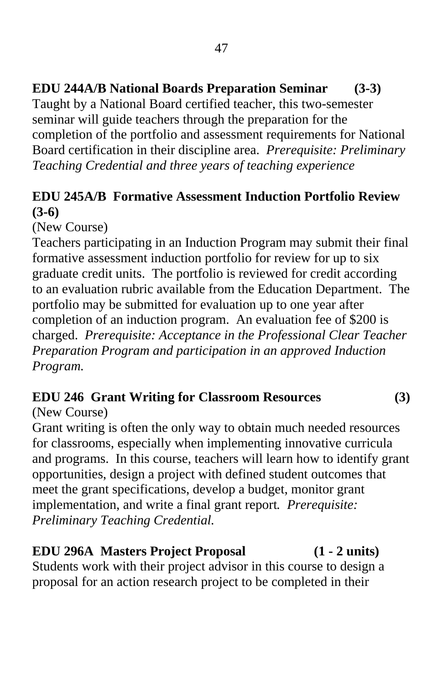Taught by a National Board certified teacher, this two-semester seminar will guide teachers through the preparation for the completion of the portfolio and assessment requirements for National Board certification in their discipline area. *Prerequisite: Preliminary Teaching Credential and three years of teaching experience* 

### **EDU 245A/B Formative Assessment Induction Portfolio Review (3-6)**

(New Course)

Teachers participating in an Induction Program may submit their final formative assessment induction portfolio for review for up to six graduate credit units. The portfolio is reviewed for credit according to an evaluation rubric available from the Education Department. The portfolio may be submitted for evaluation up to one year after completion of an induction program. An evaluation fee of \$200 is charged. *Prerequisite: Acceptance in the Professional Clear Teacher Preparation Program and participation in an approved Induction Program.* 

## **EDU 246 Grant Writing for Classroom Resources (3)**

#### (New Course)

Grant writing is often the only way to obtain much needed resources for classrooms, especially when implementing innovative curricula and programs. In this course, teachers will learn how to identify grant opportunities, design a project with defined student outcomes that meet the grant specifications, develop a budget, monitor grant implementation, and write a final grant report*. Prerequisite: Preliminary Teaching Credential.* 

### **EDU 296A Masters Project Proposal (1 - 2 units)**

Students work with their project advisor in this course to design a proposal for an action research project to be completed in their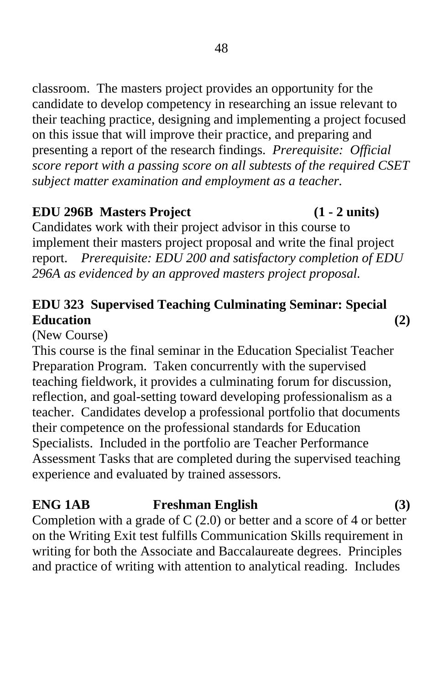classroom. The masters project provides an opportunity for the candidate to develop competency in researching an issue relevant to their teaching practice, designing and implementing a project focused on this issue that will improve their practice, and preparing and presenting a report of the research findings. *Prerequisite: Official score report with a passing score on all subtests of the required CSET subject matter examination and employment as a teacher.* 

#### **EDU 296B Masters Project (1 - 2 units)**

Candidates work with their project advisor in this course to implement their masters project proposal and write the final project report. *Prerequisite: EDU 200 and satisfactory completion of EDU 296A as evidenced by an approved masters project proposal.* 

### **EDU 323 Supervised Teaching Culminating Seminar: Special Education (2)**

(New Course)

This course is the final seminar in the Education Specialist Teacher Preparation Program. Taken concurrently with the supervised teaching fieldwork, it provides a culminating forum for discussion, reflection, and goal-setting toward developing professionalism as a teacher. Candidates develop a professional portfolio that documents their competence on the professional standards for Education Specialists. Included in the portfolio are Teacher Performance Assessment Tasks that are completed during the supervised teaching experience and evaluated by trained assessors.

## **ENG 1AB Freshman English (3)**  Completion with a grade of  $C(2.0)$  or better and a score of 4 or better on the Writing Exit test fulfills Communication Skills requirement in

writing for both the Associate and Baccalaureate degrees. Principles and practice of writing with attention to analytical reading. Includes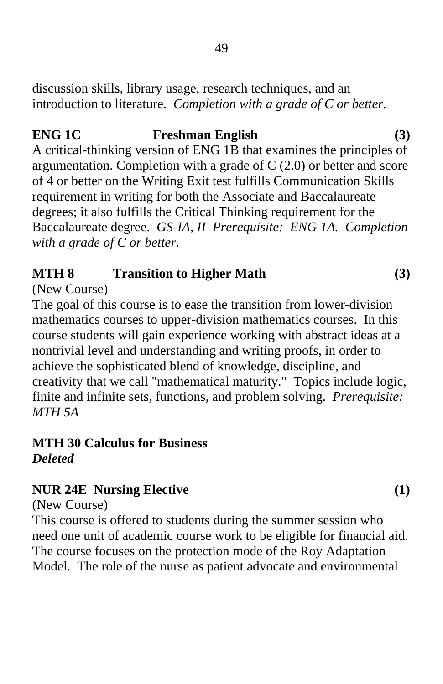discussion skills, library usage, research techniques, and an introduction to literature. *Completion with a grade of C or better.*

# **ENG 1C** Freshman English (3)

A critical-thinking version of ENG 1B that examines the principles of argumentation. Completion with a grade of C (2.0) or better and score of 4 or better on the Writing Exit test fulfills Communication Skills requirement in writing for both the Associate and Baccalaureate degrees; it also fulfills the Critical Thinking requirement for the Baccalaureate degree. *GS-IA, II Prerequisite: ENG 1A. Completion with a grade of C or better.*

### **MTH 8** Transition to Higher Math (3)

#### (New Course)

The goal of this course is to ease the transition from lower-division mathematics courses to upper-division mathematics courses. In this course students will gain experience working with abstract ideas at a nontrivial level and understanding and writing proofs, in order to achieve the sophisticated blend of knowledge, discipline, and creativity that we call "mathematical maturity." Topics include logic, finite and infinite sets, functions, and problem solving. *Prerequisite: MTH 5A* 

#### **MTH 30 Calculus for Business**  *Deleted*

#### **NUR 24E Nursing Elective (1)**

(New Course)

This course is offered to students during the summer session who need one unit of academic course work to be eligible for financial aid. The course focuses on the protection mode of the Roy Adaptation Model. The role of the nurse as patient advocate and environmental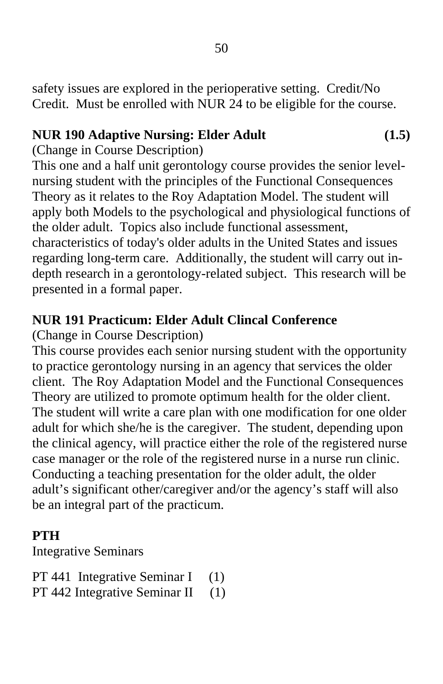safety issues are explored in the perioperative setting. Credit/No Credit. Must be enrolled with NUR 24 to be eligible for the course.

#### **NUR 190 Adaptive Nursing: Elder Adult (1.5)**

(Change in Course Description)

This one and a half unit gerontology course provides the senior levelnursing student with the principles of the Functional Consequences Theory as it relates to the Roy Adaptation Model. The student will apply both Models to the psychological and physiological functions of the older adult. Topics also include functional assessment, characteristics of today's older adults in the United States and issues regarding long-term care. Additionally, the student will carry out indepth research in a gerontology-related subject. This research will be presented in a formal paper.

### **NUR 191 Practicum: Elder Adult Clincal Conference**

(Change in Course Description)

This course provides each senior nursing student with the opportunity to practice gerontology nursing in an agency that services the older client. The Roy Adaptation Model and the Functional Consequences Theory are utilized to promote optimum health for the older client. The student will write a care plan with one modification for one older adult for which she/he is the caregiver. The student, depending upon the clinical agency, will practice either the role of the registered nurse case manager or the role of the registered nurse in a nurse run clinic. Conducting a teaching presentation for the older adult, the older adult's significant other/caregiver and/or the agency's staff will also be an integral part of the practicum.

### **PTH**

Integrative Seminars

PT 441 Integrative Seminar I (1)

PT 442 Integrative Seminar II (1)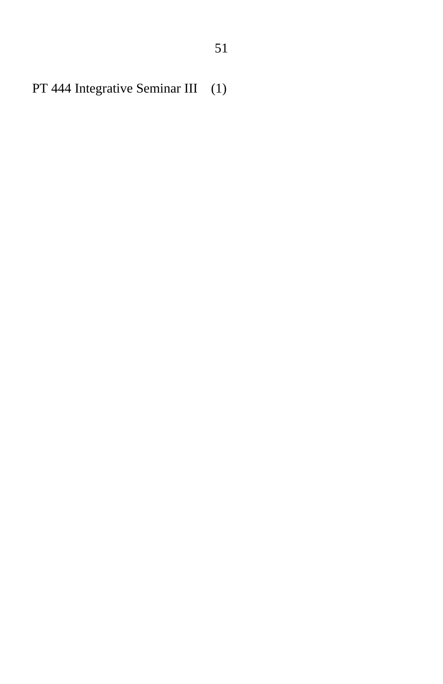PT 444 Integrative Seminar III (1)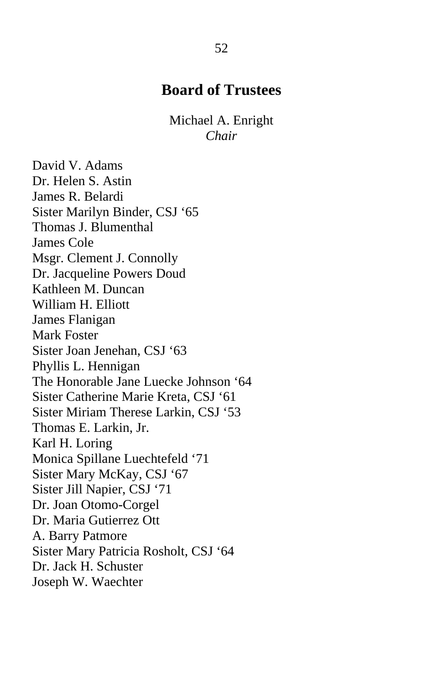### **Board of Trustees**

Michael A. Enright *Chair* 

David V. Adams Dr. Helen S. Astin James R. Belardi Sister Marilyn Binder, CSJ '65 Thomas J. Blumenthal James Cole Msgr. Clement J. Connolly Dr. Jacqueline Powers Doud Kathleen M. Duncan William H. Elliott James Flanigan Mark Foster Sister Joan Jenehan, CSJ '63 Phyllis L. Hennigan The Honorable Jane Luecke Johnson '64 Sister Catherine Marie Kreta, CSJ '61 Sister Miriam Therese Larkin, CSJ '53 Thomas E. Larkin, Jr. Karl H. Loring Monica Spillane Luechtefeld '71 Sister Mary McKay, CSJ '67 Sister Jill Napier, CSJ '71 Dr. Joan Otomo-Corgel Dr. Maria Gutierrez Ott A. Barry Patmore Sister Mary Patricia Rosholt, CSJ '64 Dr. Jack H. Schuster Joseph W. Waechter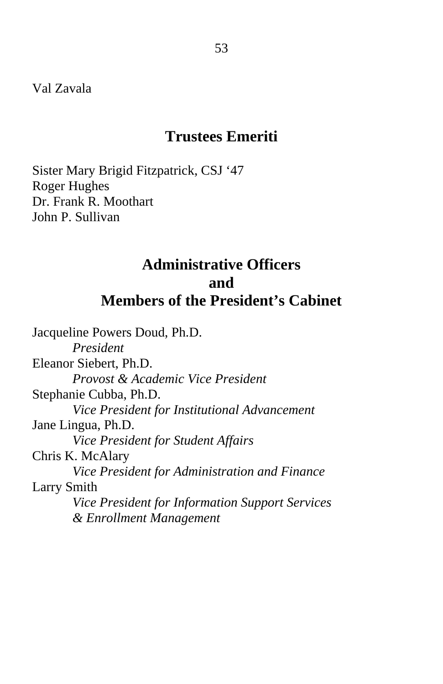### **Trustees Emeriti**

Sister Mary Brigid Fitzpatrick, CSJ '47 Roger Hughes Dr. Frank R. Moothart John P. Sullivan

## **Administrative Officers and Members of the President's Cabinet**

Jacqueline Powers Doud, Ph.D. *President*  Eleanor Siebert, Ph.D. *Provost & Academic Vice President*  Stephanie Cubba, Ph.D. *Vice President for Institutional Advancement*  Jane Lingua, Ph.D. *Vice President for Student Affairs*  Chris K. McAlary  *Vice President for Administration and Finance*  Larry Smith  *Vice President for Information Support Services & Enrollment Management*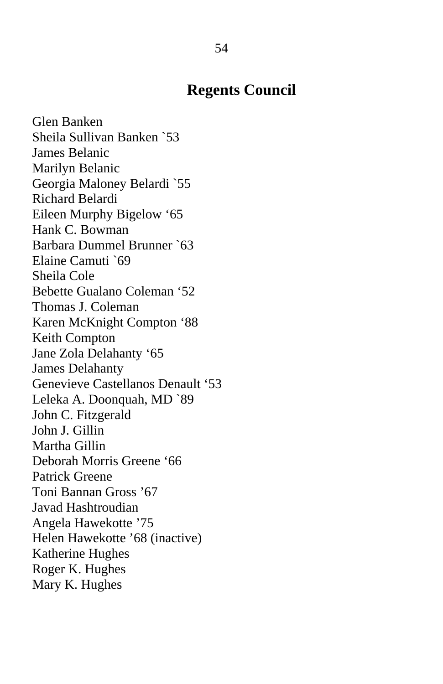### **Regents Council**

Glen Banken Sheila Sullivan Banken `53 James Belanic Marilyn Belanic Georgia Maloney Belardi `55 Richard Belardi Eileen Murphy Bigelow '65 Hank C. Bowman Barbara Dummel Brunner `63 Elaine Camuti `69 Sheila Cole Bebette Gualano Coleman '52 Thomas J. Coleman Karen McKnight Compton '88 Keith Compton Jane Zola Delahanty '65 James Delahanty Genevieve Castellanos Denault '53 Leleka A. Doonquah, MD `89 John C. Fitzgerald John J. Gillin Martha Gillin Deborah Morris Greene '66 Patrick Greene Toni Bannan Gross '67 Javad Hashtroudian Angela Hawekotte '75 Helen Hawekotte '68 (inactive) Katherine Hughes Roger K. Hughes Mary K. Hughes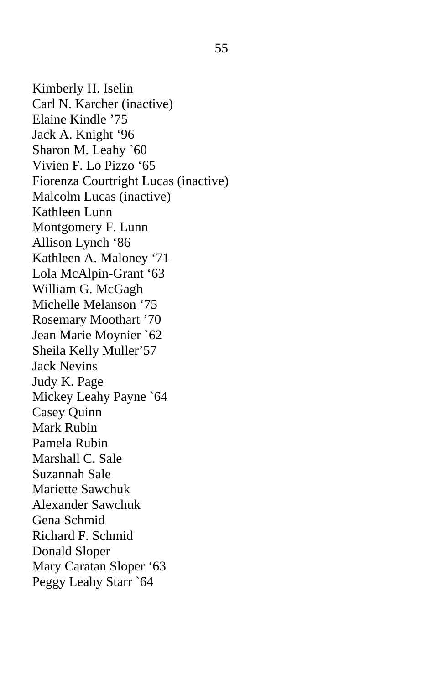Kimberly H. Iselin Carl N. Karcher (inactive) Elaine Kindle '75 Jack A. Knight '96 Sharon M. Leahy `60 Vivien F. Lo Pizzo '65 Fiorenza Courtright Lucas (inactive) Malcolm Lucas (inactive) Kathleen Lunn Montgomery F. Lunn Allison Lynch '86 Kathleen A. Maloney '71 Lola McAlpin-Grant '63 William G. McGagh Michelle Melanson '75 Rosemary Moothart '70 Jean Marie Moynier `62 Sheila Kelly Muller'57 Jack Nevins Judy K. Page Mickey Leahy Payne `64 Casey Quinn Mark Rubin Pamela Rubin Marshall C. Sale Suzannah Sale Mariette Sawchuk Alexander Sawchuk Gena Schmid Richard F. Schmid Donald Sloper Mary Caratan Sloper '63 Peggy Leahy Starr `64